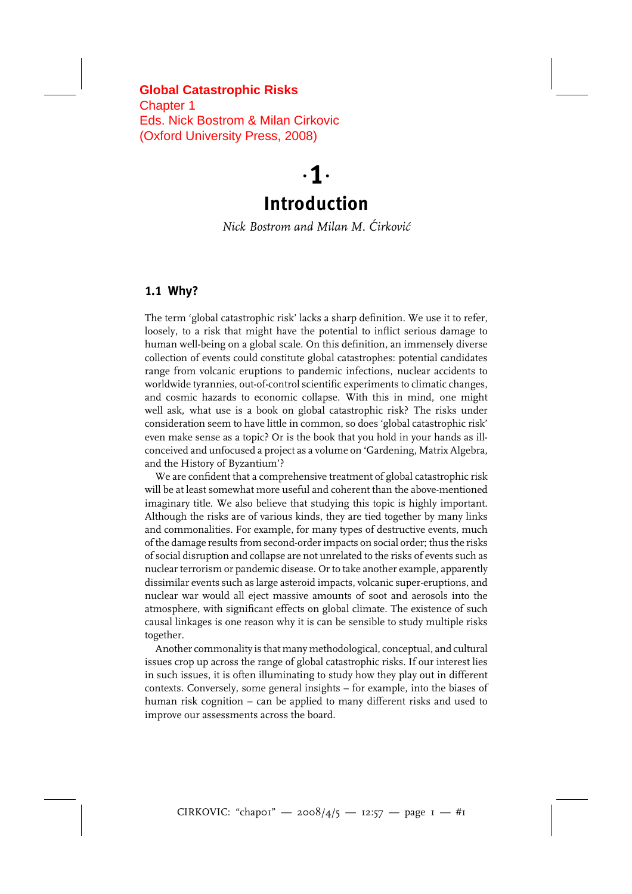Chapter 1 Eds. Nick Bostrom & Milan Cirkovic (Oxford University Press, 2008)

# •**1**• **Introduction**

*Nick Bostrom and Milan M. Cirkovi´ ´ c*

# **1.1 Why?**

The term 'global catastrophic risk' lacks a sharp definition. We use it to refer, loosely, to a risk that might have the potential to inflict serious damage to human well-being on a global scale. On this definition, an immensely diverse collection of events could constitute global catastrophes: potential candidates range from volcanic eruptions to pandemic infections, nuclear accidents to worldwide tyrannies, out-of-control scientific experiments to climatic changes, and cosmic hazards to economic collapse. With this in mind, one might well ask, what use is a book on global catastrophic risk? The risks under consideration seem to have little in common, so does 'global catastrophic risk' even make sense as a topic? Or is the book that you hold in your hands as illconceived and unfocused a project as a volume on 'Gardening, Matrix Algebra, and the History of Byzantium'?

We are confident that a comprehensive treatment of global catastrophic risk will be at least somewhat more useful and coherent than the above-mentioned imaginary title. We also believe that studying this topic is highly important. Although the risks are of various kinds, they are tied together by many links and commonalities. For example, for many types of destructive events, much of the damage results from second-order impacts on social order; thus the risks of social disruption and collapse are not unrelated to the risks of events such as nuclear terrorism or pandemic disease. Or to take another example, apparently dissimilar events such as large asteroid impacts, volcanic super-eruptions, and nuclear war would all eject massive amounts of soot and aerosols into the atmosphere, with significant effects on global climate. The existence of such causal linkages is one reason why it is can be sensible to study multiple risks together.

Another commonality is that many methodological, conceptual, and cultural issues crop up across the range of global catastrophic risks. If our interest lies in such issues, it is often illuminating to study how they play out in different contexts. Conversely, some general insights – for example, into the biases of human risk cognition – can be applied to many different risks and used to improve our assessments across the board.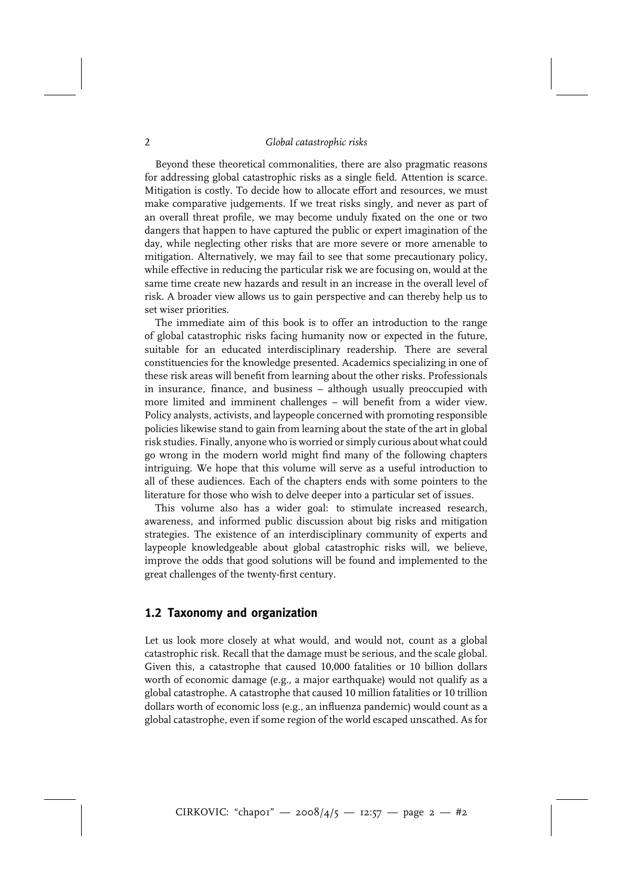Beyond these theoretical commonalities, there are also pragmatic reasons for addressing global catastrophic risks as a single field. Attention is scarce. Mitigation is costly. To decide how to allocate effort and resources, we must make comparative judgements. If we treat risks singly, and never as part of an overall threat profile, we may become unduly fixated on the one or two dangers that happen to have captured the public or expert imagination of the day, while neglecting other risks that are more severe or more amenable to mitigation. Alternatively, we may fail to see that some precautionary policy, while effective in reducing the particular risk we are focusing on, would at the same time create new hazards and result in an increase in the overall level of risk. A broader view allows us to gain perspective and can thereby help us to set wiser priorities.

The immediate aim of this book is to offer an introduction to the range of global catastrophic risks facing humanity now or expected in the future, suitable for an educated interdisciplinary readership. There are several constituencies for the knowledge presented. Academics specializing in one of these risk areas will benefit from learning about the other risks. Professionals in insurance, finance, and business – although usually preoccupied with more limited and imminent challenges – will benefit from a wider view. Policy analysts, activists, and laypeople concerned with promoting responsible policies likewise stand to gain from learning about the state of the art in global risk studies. Finally, anyone who is worried or simply curious about what could go wrong in the modern world might find many of the following chapters intriguing. We hope that this volume will serve as a useful introduction to all of these audiences. Each of the chapters ends with some pointers to the literature for those who wish to delve deeper into a particular set of issues.

This volume also has a wider goal: to stimulate increased research, awareness, and informed public discussion about big risks and mitigation strategies. The existence of an interdisciplinary community of experts and laypeople knowledgeable about global catastrophic risks will, we believe, improve the odds that good solutions will be found and implemented to the great challenges of the twenty-first century.

# **1.2 Taxonomy and organization**

Let us look more closely at what would, and would not, count as a global catastrophic risk. Recall that the damage must be serious, and the scale global. Given this, a catastrophe that caused 10,000 fatalities or 10 billion dollars worth of economic damage (e.g., a major earthquake) would not qualify as a global catastrophe. A catastrophe that caused 10 million fatalities or 10 trillion dollars worth of economic loss (e.g., an influenza pandemic) would count as a global catastrophe, even if some region of the world escaped unscathed. As for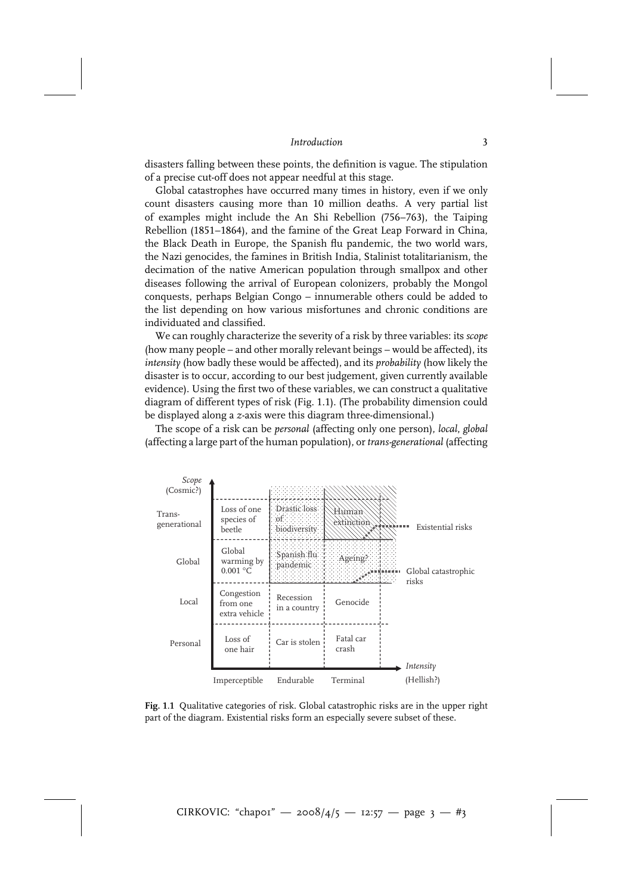disasters falling between these points, the definition is vague. The stipulation of a precise cut-off does not appear needful at this stage.

Global catastrophes have occurred many times in history, even if we only count disasters causing more than 10 million deaths. A very partial list of examples might include the An Shi Rebellion (756–763), the Taiping Rebellion (1851–1864), and the famine of the Great Leap Forward in China, the Black Death in Europe, the Spanish flu pandemic, the two world wars, the Nazi genocides, the famines in British India, Stalinist totalitarianism, the decimation of the native American population through smallpox and other diseases following the arrival of European colonizers, probably the Mongol conquests, perhaps Belgian Congo – innumerable others could be added to the list depending on how various misfortunes and chronic conditions are individuated and classified.

We can roughly characterize the severity of a risk by three variables: its *scope* (how many people – and other morally relevant beings – would be affected), its *intensity* (how badly these would be affected), and its *probability* (how likely the disaster is to occur, according to our best judgement, given currently available evidence). Using the first two of these variables, we can construct a qualitative diagram of different types of risk (Fig. 1.1). (The probability dimension could be displayed along a *z*-axis were this diagram three-dimensional.)

The scope of a risk can be *personal* (affecting only one person), *local*, *global* (affecting a large part of the human population), or*trans-generational* (affecting



**Fig. 1**.**1** Qualitative categories of risk. Global catastrophic risks are in the upper right part of the diagram. Existential risks form an especially severe subset of these.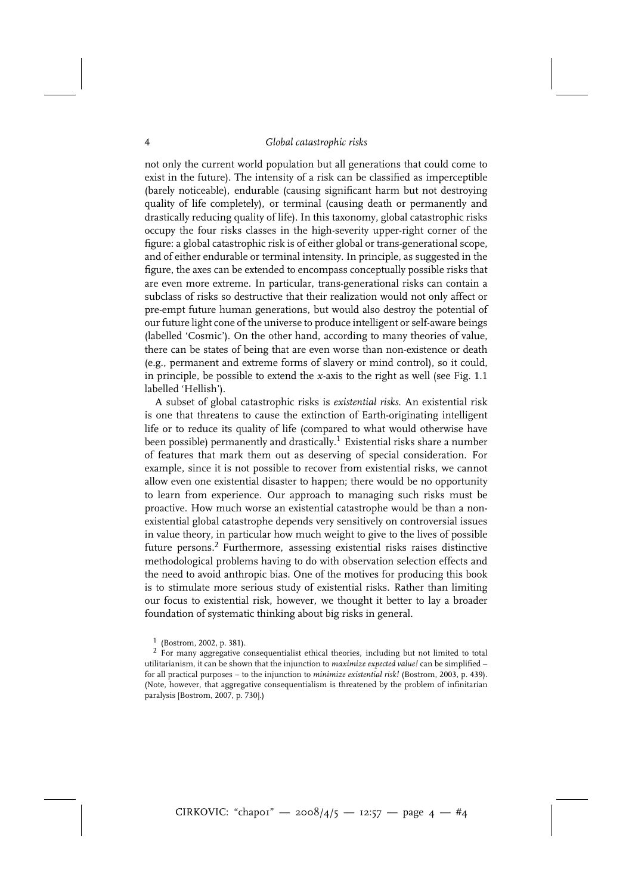not only the current world population but all generations that could come to exist in the future). The intensity of a risk can be classified as imperceptible (barely noticeable), endurable (causing significant harm but not destroying quality of life completely), or terminal (causing death or permanently and drastically reducing quality of life). In this taxonomy, global catastrophic risks occupy the four risks classes in the high-severity upper-right corner of the figure: a global catastrophic risk is of either global or trans-generational scope, and of either endurable or terminal intensity. In principle, as suggested in the figure, the axes can be extended to encompass conceptually possible risks that are even more extreme. In particular, trans-generational risks can contain a subclass of risks so destructive that their realization would not only affect or pre-empt future human generations, but would also destroy the potential of our future light cone of the universe to produce intelligent or self-aware beings (labelled 'Cosmic'). On the other hand, according to many theories of value, there can be states of being that are even worse than non-existence or death (e.g., permanent and extreme forms of slavery or mind control), so it could, in principle, be possible to extend the *x*-axis to the right as well (see Fig. 1.1 labelled 'Hellish').

A subset of global catastrophic risks is *existential risks*. An existential risk is one that threatens to cause the extinction of Earth-originating intelligent life or to reduce its quality of life (compared to what would otherwise have been possible) permanently and drastically.<sup>1</sup> Existential risks share a number of features that mark them out as deserving of special consideration. For example, since it is not possible to recover from existential risks, we cannot allow even one existential disaster to happen; there would be no opportunity to learn from experience. Our approach to managing such risks must be proactive. How much worse an existential catastrophe would be than a nonexistential global catastrophe depends very sensitively on controversial issues in value theory, in particular how much weight to give to the lives of possible future persons.<sup>2</sup> Furthermore, assessing existential risks raises distinctive methodological problems having to do with observation selection effects and the need to avoid anthropic bias. One of the motives for producing this book is to stimulate more serious study of existential risks. Rather than limiting our focus to existential risk, however, we thought it better to lay a broader foundation of systematic thinking about big risks in general.

<sup>(</sup>Bostrom, 2002, p. 381).

 $2$  For many aggregative consequentialist ethical theories, including but not limited to total utilitarianism, it can be shown that the injunction to *maximize expected value!* can be simplified – for all practical purposes – to the injunction to *minimize existential risk!* (Bostrom, 2003, p. 439). (Note, however, that aggregative consequentialism is threatened by the problem of infinitarian paralysis [Bostrom, 2007, p. 730].)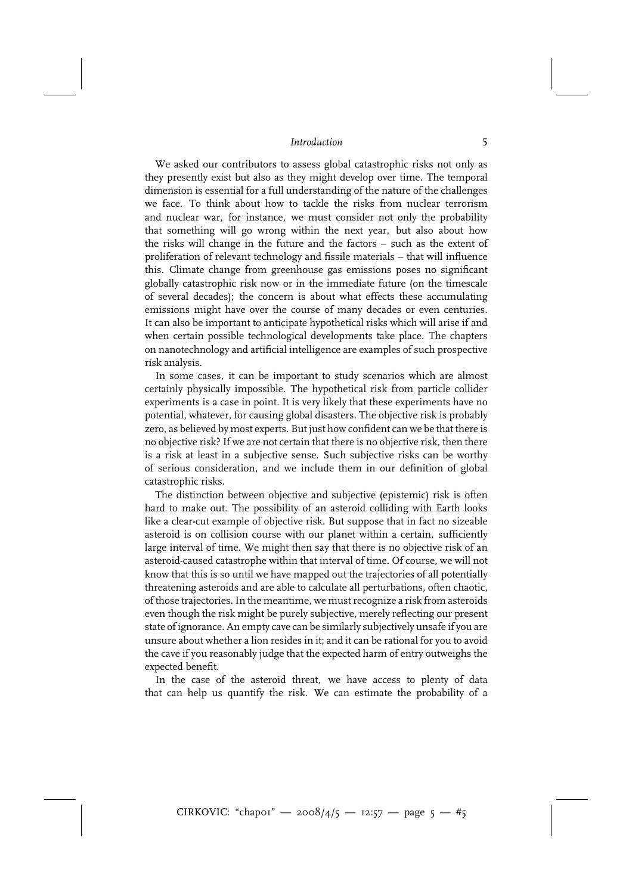We asked our contributors to assess global catastrophic risks not only as they presently exist but also as they might develop over time. The temporal dimension is essential for a full understanding of the nature of the challenges we face. To think about how to tackle the risks from nuclear terrorism and nuclear war, for instance, we must consider not only the probability that something will go wrong within the next year, but also about how the risks will change in the future and the factors – such as the extent of proliferation of relevant technology and fissile materials – that will influence this. Climate change from greenhouse gas emissions poses no significant globally catastrophic risk now or in the immediate future (on the timescale of several decades); the concern is about what effects these accumulating emissions might have over the course of many decades or even centuries. It can also be important to anticipate hypothetical risks which will arise if and when certain possible technological developments take place. The chapters on nanotechnology and artificial intelligence are examples of such prospective risk analysis.

In some cases, it can be important to study scenarios which are almost certainly physically impossible. The hypothetical risk from particle collider experiments is a case in point. It is very likely that these experiments have no potential, whatever, for causing global disasters. The objective risk is probably zero, as believed by most experts. But just how confident can we be that there is no objective risk? If we are not certain that there is no objective risk, then there is a risk at least in a subjective sense. Such subjective risks can be worthy of serious consideration, and we include them in our definition of global catastrophic risks.

The distinction between objective and subjective (epistemic) risk is often hard to make out. The possibility of an asteroid colliding with Earth looks like a clear-cut example of objective risk. But suppose that in fact no sizeable asteroid is on collision course with our planet within a certain, sufficiently large interval of time. We might then say that there is no objective risk of an asteroid-caused catastrophe within that interval of time. Of course, we will not know that this is so until we have mapped out the trajectories of all potentially threatening asteroids and are able to calculate all perturbations, often chaotic, of those trajectories. In the meantime, we must recognize a risk from asteroids even though the risk might be purely subjective, merely reflecting our present state of ignorance. An empty cave can be similarly subjectively unsafe if you are unsure about whether a lion resides in it; and it can be rational for you to avoid the cave if you reasonably judge that the expected harm of entry outweighs the expected benefit.

In the case of the asteroid threat, we have access to plenty of data that can help us quantify the risk. We can estimate the probability of a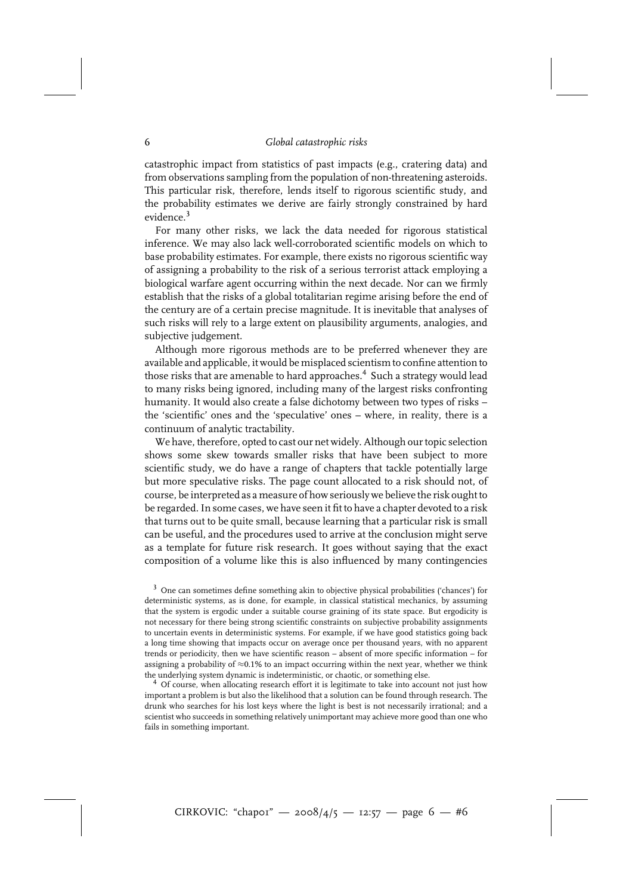catastrophic impact from statistics of past impacts (e.g., cratering data) and from observations sampling from the population of non-threatening asteroids. This particular risk, therefore, lends itself to rigorous scientific study, and the probability estimates we derive are fairly strongly constrained by hard evidence.<sup>3</sup>

For many other risks, we lack the data needed for rigorous statistical inference. We may also lack well-corroborated scientific models on which to base probability estimates. For example, there exists no rigorous scientific way of assigning a probability to the risk of a serious terrorist attack employing a biological warfare agent occurring within the next decade. Nor can we firmly establish that the risks of a global totalitarian regime arising before the end of the century are of a certain precise magnitude. It is inevitable that analyses of such risks will rely to a large extent on plausibility arguments, analogies, and subjective judgement.

Although more rigorous methods are to be preferred whenever they are available and applicable, it would be misplaced scientism to confine attention to those risks that are amenable to hard approaches.<sup>4</sup> Such a strategy would lead to many risks being ignored, including many of the largest risks confronting humanity. It would also create a false dichotomy between two types of risks – the 'scientific' ones and the 'speculative' ones – where, in reality, there is a continuum of analytic tractability.

We have, therefore, opted to cast our net widely. Although our topic selection shows some skew towards smaller risks that have been subject to more scientific study, we do have a range of chapters that tackle potentially large but more speculative risks. The page count allocated to a risk should not, of course, be interpreted as a measure of how seriously we believe the risk ought to be regarded. In some cases, we have seen it fit to have a chapter devoted to a risk that turns out to be quite small, because learning that a particular risk is small can be useful, and the procedures used to arrive at the conclusion might serve as a template for future risk research. It goes without saying that the exact composition of a volume like this is also influenced by many contingencies

 $3$  One can sometimes define something akin to objective physical probabilities ('chances') for deterministic systems, as is done, for example, in classical statistical mechanics, by assuming that the system is ergodic under a suitable course graining of its state space. But ergodicity is not necessary for there being strong scientific constraints on subjective probability assignments to uncertain events in deterministic systems. For example, if we have good statistics going back a long time showing that impacts occur on average once per thousand years, with no apparent trends or periodicity, then we have scientific reason – absent of more specific information – for assigning a probability of  $\approx$ 0.1% to an impact occurring within the next year, whether we think the underlying system dynamic is indeterministic, or chaotic, or something else.

<sup>&</sup>lt;sup>4</sup> Of course, when allocating research effort it is legitimate to take into account not just how important a problem is but also the likelihood that a solution can be found through research. The drunk who searches for his lost keys where the light is best is not necessarily irrational; and a scientist who succeeds in something relatively unimportant may achieve more good than one who fails in something important.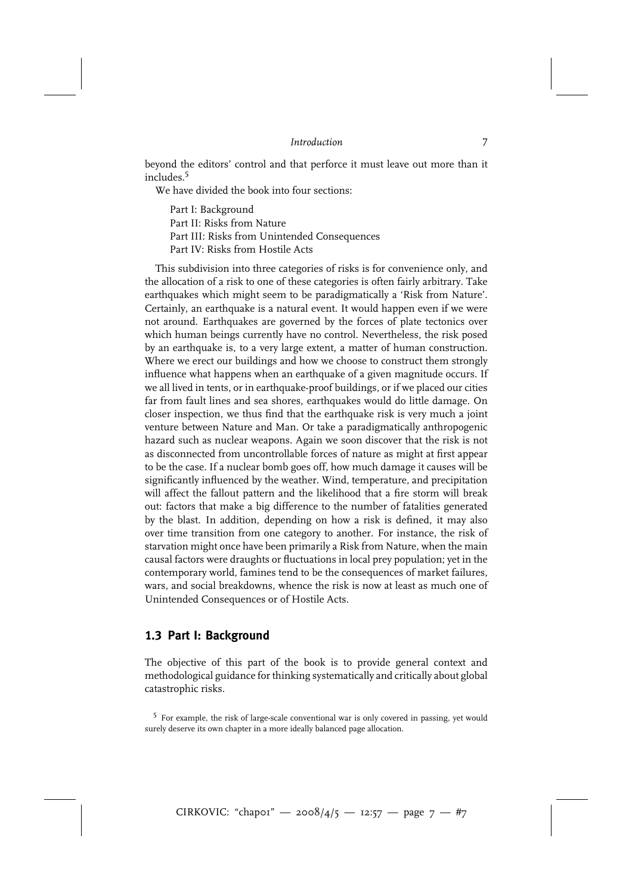beyond the editors' controland that perforce it must leave out more than it includes.<sup>5</sup>

We have divided the book into four sections:

Part I: Background Part II: Risks from Nature Part III: Risks from Unintended Consequences Part IV: Risks from Hostile Acts

This subdivision into three categories of risks is for convenience only, and the allocation of a risk to one of these categories is often fairly arbitrary. Take earthquakes which might seem to be paradigmatically a 'Risk from Nature'. Certainly, an earthquake is a natural event. It would happen even if we were not around. Earthquakes are governed by the forces of plate tectonics over which human beings currently have no control. Nevertheless, the risk posed by an earthquake is, to a very large extent, a matter of human construction. Where we erect our buildings and how we choose to construct them strongly influence what happens when an earthquake of a given magnitude occurs. If we all lived in tents, or in earthquake-proof buildings, or if we placed our cities far from fault lines and sea shores, earthquakes would do little damage. On closer inspection, we thus find that the earthquake risk is very much a joint venture between Nature and Man. Or take a paradigmatically anthropogenic hazard such as nuclear weapons. Again we soon discover that the risk is not as disconnected from uncontrollable forces of nature as might at first appear to be the case. If a nuclear bomb goes off, how much damage it causes will be significantly influenced by the weather. Wind, temperature, and precipitation will affect the fallout pattern and the likelihood that a fire storm will break out: factors that make a big difference to the number of fatalities generated by the blast. In addition, depending on how a risk is defined, it may also over time transition from one category to another. For instance, the risk of starvation might once have been primarily a Risk from Nature, when the main causal factors were draughts or fluctuations in local prey population; yet in the contemporary world, famines tend to be the consequences of market failures, wars, and social breakdowns, whence the risk is now at least as much one of Unintended Consequences or of Hostile Acts.

# **1.3 Part I: Background**

The objective of this part of the book is to provide general context and methodological guidance for thinking systematically and critically about global catastrophic risks.

<sup>5</sup> For example, the risk of large-scale conventional war is only covered in passing, yet would surely deserve its own chapter in a more ideally balanced page allocation.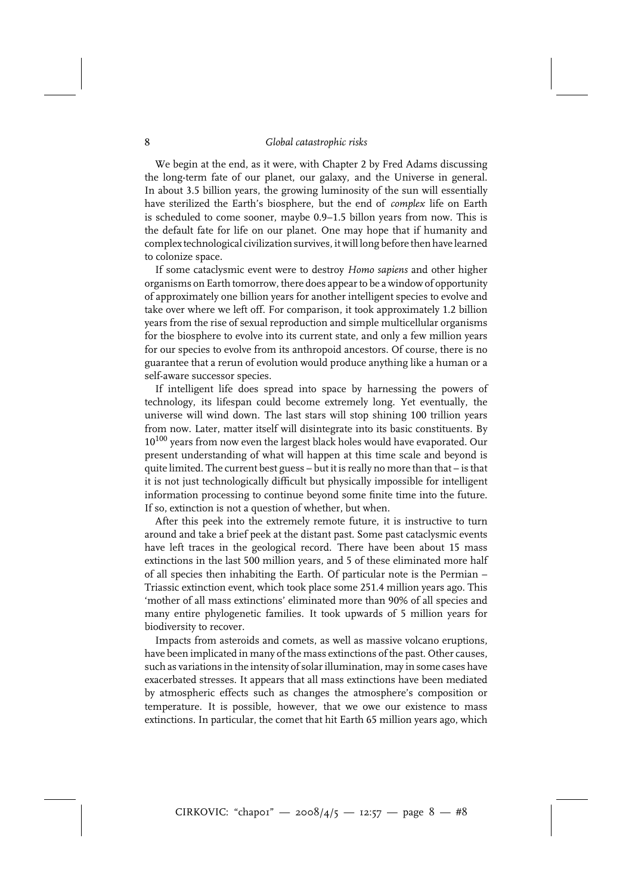We begin at the end, as it were, with Chapter 2 by Fred Adams discussing the long-term fate of our planet, our galaxy, and the Universe in general. In about 3.5 billion years, the growing luminosity of the sun will essentially have sterilized the Earth's biosphere, but the end of *complex* life on Earth is scheduled to come sooner, maybe 0.9–1.5 billon years from now. This is the default fate for life on our planet. One may hope that if humanity and complex technological civilization survives, it will long before then have learned to colonize space.

If some cataclysmic event were to destroy *Homo sapiens* and other higher organisms on Earth tomorrow, there does appear to be a window of opportunity of approximately one billion years for another intelligent species to evolve and take over where we left off. For comparison, it took approximately 1.2 billion years from the rise of sexual reproduction and simple multicellular organisms for the biosphere to evolve into its current state, and only a few million years for our species to evolve from its anthropoid ancestors. Of course, there is no guarantee that a rerun of evolution would produce anything like a human or a self-aware successor species.

If intelligent life does spread into space by harnessing the powers of technology, its lifespan could become extremely long. Yet eventually, the universe will wind down. The last stars will stop shining 100 trillion years from now. Later, matter itself will disintegrate into its basic constituents. By  $10^{100}$  years from now even the largest black holes would have evaporated. Our present understanding of what will happen at this time scale and beyond is quite limited. The current best guess – but it is really no more than that – is that it is not just technologically difficult but physically impossible for intelligent information processing to continue beyond some finite time into the future. If so, extinction is not a question of whether, but when.

After this peek into the extremely remote future, it is instructive to turn around and take a brief peek at the distant past. Some past cataclysmic events have left traces in the geological record. There have been about 15 mass extinctions in the last 500 million years, and 5 of these eliminated more half of all species then inhabiting the Earth. Of particular note is the Permian – Triassic extinction event, which took place some 251.4 million years ago. This 'mother of all mass extinctions' eliminated more than 90% of all species and many entire phylogenetic families. It took upwards of 5 million years for biodiversity to recover.

Impacts from asteroids and comets, as well as massive volcano eruptions, have been implicated in many of the mass extinctions of the past. Other causes, such as variations in the intensity of solar illumination, may in some cases have exacerbated stresses. It appears that all mass extinctions have been mediated by atmospheric effects such as changes the atmosphere's composition or temperature. It is possible, however, that we owe our existence to mass extinctions. In particular, the comet that hit Earth 65 million years ago, which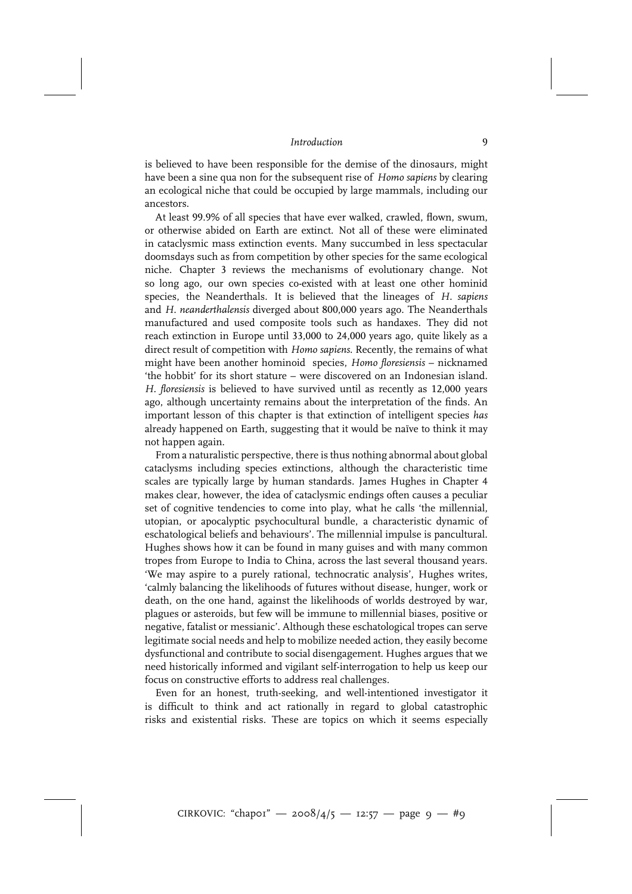is believed to have been responsible for the demise of the dinosaurs, might have been a sine qua non for the subsequent rise of *Homo sapiens* by clearing an ecological niche that could be occupied by large mammals, including our ancestors.

At least 99.9% of all species that have ever walked, crawled, flown, swum, or otherwise abided on Earth are extinct. Not all of these were eliminated in cataclysmic mass extinction events. Many succumbed in less spectacular doomsdays such as from competition by other species for the same ecological niche. Chapter 3 reviews the mechanisms of evolutionary change. Not so long ago, our own species co-existed with at least one other hominid species, the Neanderthals. It is believed that the lineages of *H. sapiens* and *H. neanderthalensis* diverged about 800,000 years ago. The Neanderthals manufactured and used composite tools such as handaxes. They did not reach extinction in Europe until 33,000 to 24,000 years ago, quite likely as a direct result of competition with *Homo sapiens*. Recently, the remains of what might have been another hominoid species, *Homo floresiensis* – nicknamed 'the hobbit' for its short stature – were discovered on an Indonesian island*. H. floresiensis* is believed to have survived until as recently as 12,000 years ago, although uncertainty remains about the interpretation of the finds. An important lesson of this chapter is that extinction of intelligent species *has* already happened on Earth, suggesting that it would be naïve to think it may not happen again.

From a naturalistic perspective, there is thus nothing abnormal about global cataclysms including species extinctions, although the characteristic time scales are typically large by human standards. James Hughes in Chapter 4 makes clear, however, the idea of cataclysmic endings often causes a peculiar set of cognitive tendencies to come into play, what he calls 'the millennial, utopian, or apocalyptic psychocultural bundle, a characteristic dynamic of eschatological beliefs and behaviours'. The millennial impulse is pancultural. Hughes shows how it can be found in many guises and with many common tropes from Europe to India to China, across the last several thousand years. 'We may aspire to a purely rational, technocratic analysis', Hughes writes, 'calmly balancing the likelihoods of futures without disease, hunger, work or death, on the one hand, against the likelihoods of worlds destroyed by war, plagues or asteroids, but few will be immune to millennial biases, positive or negative, fatalist or messianic'. Although these eschatological tropes can serve legitimate social needs and help to mobilize needed action, they easily become dysfunctional and contribute to social disengagement. Hughes argues that we need historically informed and vigilant self-interrogation to help us keep our focus on constructive efforts to address real challenges.

Even for an honest, truth-seeking, and well-intentioned investigator it is difficult to think and act rationally in regard to global catastrophic risks and existential risks. These are topics on which it seems especially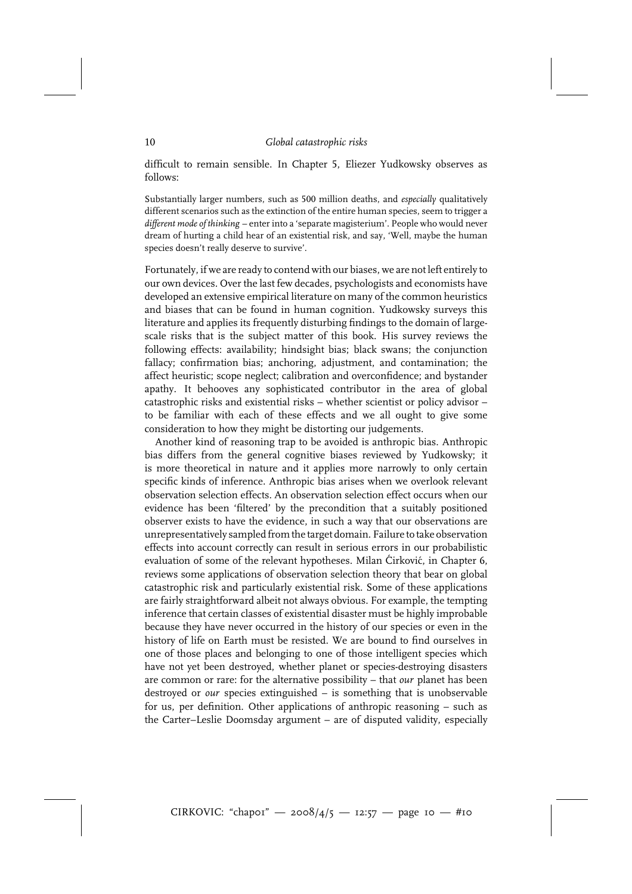difficult to remain sensible. In Chapter 5, Eliezer Yudkowsky observes as follows:

Substantially larger numbers, such as 500 million deaths, and *especially* qualitatively different scenarios such as the extinction of the entire human species, seem to trigger a *different mode of thinking* – enter into a 'separate magisterium'. People who would never dream of hurting a child hear of an existential risk, and say, 'Well, maybe the human species doesn't really deserve to survive'.

Fortunately, if we are ready to contend with our biases, we are not left entirely to our own devices. Over the last few decades, psychologists and economists have developed an extensive empirical literature on many of the common heuristics and biases that can be found in human cognition. Yudkowsky surveys this literature and applies its frequently disturbing findings to the domain of largescale risks that is the subject matter of this book. His survey reviews the following effects: availability; hindsight bias; black swans; the conjunction fallacy; confirmation bias; anchoring, adjustment, and contamination; the affect heuristic; scope neglect; calibration and overconfidence; and bystander apathy. It behooves any sophisticated contributor in the area of global catastrophic risks and existential risks – whether scientist or policy advisor – to be familiar with each of these effects and we all ought to give some consideration to how they might be distorting our judgements.

Another kind of reasoning trap to be avoided is anthropic bias. Anthropic bias differs from the general cognitive biases reviewed by Yudkowsky; it is more theoretical in nature and it applies more narrowly to only certain specific kinds of inference. Anthropic bias arises when we overlook relevant observation selection effects. An observation selection effect occurs when our evidence has been 'filtered' by the precondition that a suitably positioned observer exists to have the evidence, in such a way that our observations are unrepresentatively sampled from the target domain. Failure to take observation effects into account correctly can result in serious errors in our probabilistic evaluation of some of the relevant hypotheses. Milan Cirković, in Chapter 6, reviews some applications of observation selection theory that bear on global catastrophic risk and particularly existential risk. Some of these applications are fairly straightforward albeit not always obvious. For example, the tempting inference that certain classes of existential disaster must be highly improbable because they have never occurred in the history of our species or even in the history of life on Earth must be resisted. We are bound to find ourselves in one of those places and belonging to one of those intelligent species which have not yet been destroyed, whether planet or species-destroying disasters are common or rare: for the alternative possibility – that *our* planet has been destroyed or *our* species extinguished – is something that is unobservable for us, per definition. Other applications of anthropic reasoning – such as the Carter–Leslie Doomsday argument – are of disputed validity, especially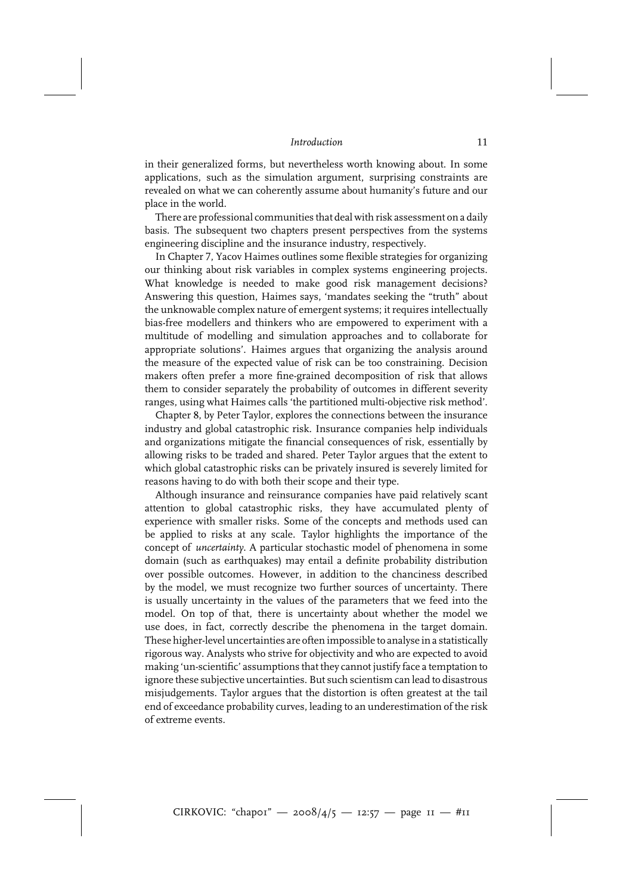in their generalized forms, but nevertheless worth knowing about. In some applications, such as the simulation argument, surprising constraints are revealed on what we can coherently assume about humanity's future and our place in the world.

There are professional communities that deal with risk assessment on a daily basis. The subsequent two chapters present perspectives from the systems engineering discipline and the insurance industry, respectively.

In Chapter 7, Yacov Haimes outlines some flexible strategies for organizing our thinking about risk variables in complex systems engineering projects. What knowledge is needed to make good risk management decisions? Answering this question, Haimes says, 'mandates seeking the "truth" about the unknowable complex nature of emergent systems; it requires intellectually bias-free modellers and thinkers who are empowered to experiment with a multitude of modelling and simulation approaches and to collaborate for appropriate solutions'. Haimes argues that organizing the analysis around the measure of the expected value of risk can be too constraining. Decision makers often prefer a more fine-grained decomposition of risk that allows them to consider separately the probability of outcomes in different severity ranges, using what Haimes calls 'the partitioned multi-objective risk method'.

Chapter 8, by Peter Taylor, explores the connections between the insurance industry and global catastrophic risk. Insurance companies help individuals and organizations mitigate the financial consequences of risk, essentially by allowing risks to be traded and shared. Peter Taylor argues that the extent to which global catastrophic risks can be privately insured is severely limited for reasons having to do with both their scope and their type.

Although insurance and reinsurance companies have paid relatively scant attention to global catastrophic risks, they have accumulated plenty of experience with smaller risks. Some of the concepts and methods used can be applied to risks at any scale. Taylor highlights the importance of the concept of *uncertainty*. A particular stochastic model of phenomena in some domain (such as earthquakes) may entail a definite probability distribution over possible outcomes. However, in addition to the chanciness described by the model, we must recognize two further sources of uncertainty. There is usually uncertainty in the values of the parameters that we feed into the model. On top of that, there is uncertainty about whether the model we use does, in fact, correctly describe the phenomena in the target domain. These higher-level uncertainties are often impossible to analyse in a statistically rigorous way. Analysts who strive for objectivity and who are expected to avoid making 'un-scientific' assumptions that they cannot justify face a temptation to ignore these subjective uncertainties. But such scientism can lead to disastrous misjudgements. Taylor argues that the distortion is often greatest at the tail end of exceedance probability curves, leading to an underestimation of the risk of extreme events.

CIRKOVIC: "chapo1" - 2008/4/5 - 12:57 - page 11 - #11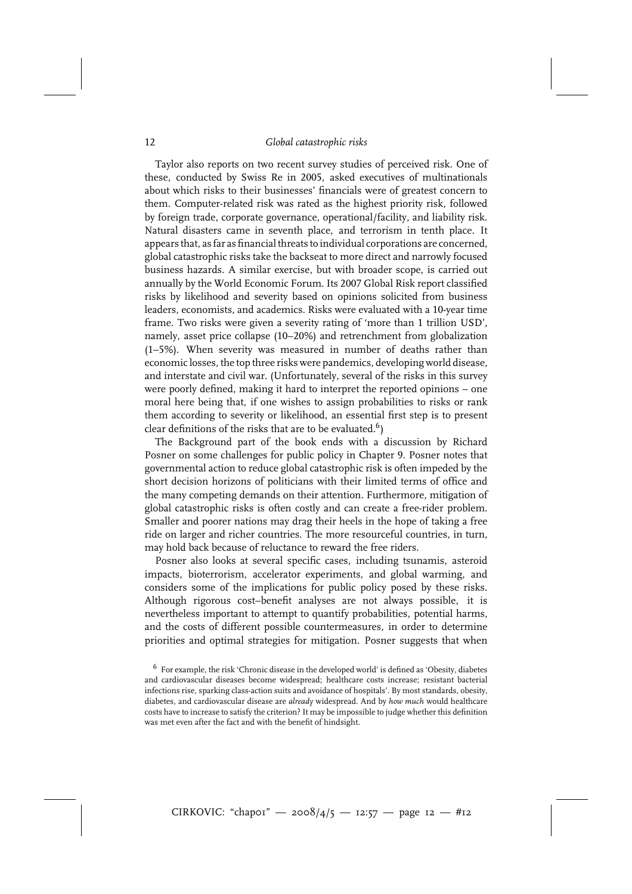Taylor also reports on two recent survey studies of perceived risk. One of these, conducted by Swiss Re in 2005, asked executives of multinationals about which risks to their businesses' financials were of greatest concern to them. Computer-related risk was rated as the highest priority risk, followed by foreign trade, corporate governance, operational/facility, and liability risk. Natural disasters came in seventh place, and terrorism in tenth place. It appears that, as far as financial threats to individual corporations are concerned, global catastrophic risks take the backseat to more direct and narrowly focused business hazards. A similar exercise, but with broader scope, is carried out annually by the World Economic Forum. Its 2007 Global Risk report classified risks by likelihood and severity based on opinions solicited from business leaders, economists, and academics. Risks were evaluated with a 10-year time frame. Two risks were given a severity rating of 'more than 1 trillion USD', namely, asset price collapse (10–20%) and retrenchment from globalization (1–5%). When severity was measured in number of deaths rather than economic losses, the top three risks were pandemics, developing world disease, and interstate and civil war. (Unfortunately, several of the risks in this survey were poorly defined, making it hard to interpret the reported opinions – one moral here being that, if one wishes to assign probabilities to risks or rank them according to severity or likelihood, an essential first step is to present clear definitions of the risks that are to be evaluated. $6$ )

The Background part of the book ends with a discussion by Richard Posner on some challenges for public policy in Chapter 9. Posner notes that governmental action to reduce global catastrophic risk is often impeded by the short decision horizons of politicians with their limited terms of office and the many competing demands on their attention. Furthermore, mitigation of global catastrophic risks is often costly and can create a free-rider problem. Smaller and poorer nations may drag their heels in the hope of taking a free ride on larger and richer countries. The more resourceful countries, in turn, may hold back because of reluctance to reward the free riders.

Posner also looks at several specific cases, including tsunamis, asteroid impacts, bioterrorism, accelerator experiments, and global warming, and considers some of the implications for public policy posed by these risks. Although rigorous cost–benefit analyses are not always possible, it is nevertheless important to attempt to quantify probabilities, potential harms, and the costs of different possible countermeasures, in order to determine priorities and optimal strategies for mitigation. Posner suggests that when

<sup>6</sup> For example, the risk 'Chronic disease in the developed world' is defined as 'Obesity, diabetes and cardiovascular diseases become widespread; healthcare costs increase; resistant bacterial infections rise, sparking class-action suits and avoidance of hospitals'. By most standards, obesity, diabetes, and cardiovascular disease are *already* widespread. And by *how much* would healthcare costs have to increase to satisfy the criterion? It may be impossible to judge whether this definition was met even after the fact and with the benefit of hindsight.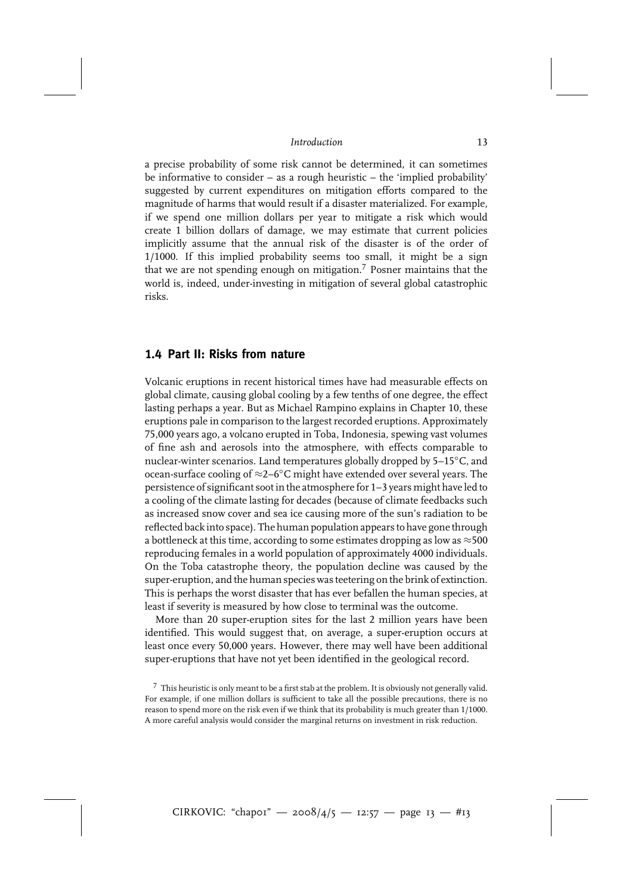a precise probability of some risk cannot be determined, it can sometimes be informative to consider – as a rough heuristic – the 'implied probability' suggested by current expenditures on mitigation efforts compared to the magnitude of harms that would result if a disaster materialized. For example, if we spend one million dollars per year to mitigate a risk which would create 1 billion dollars of damage, we may estimate that current policies implicitly assume that the annual risk of the disaster is of the order of 1/1000. If this implied probability seems too small, it might be a sign that we are not spending enough on mitigation.<sup>7</sup> Posner maintains that the world is, indeed, under-investing in mitigation of several global catastrophic risks.

# **1.4 Part II: Risks from nature**

Volcanic eruptions in recent historical times have had measurable effects on global climate, causing global cooling by a few tenths of one degree, the effect lasting perhaps a year. But as Michael Rampino explains in Chapter 10, these eruptions pale in comparison to the largest recorded eruptions. Approximately 75,000 years ago, a volcano erupted in Toba, Indonesia, spewing vast volumes of fine ash and aerosols into the atmosphere, with effects comparable to nuclear-winter scenarios. Land temperatures globally dropped by 5–15◦C, and ocean-surface cooling of  $\approx$ 2–6 $\degree$ C might have extended over several years. The persistence of significant soot in the atmosphere for 1–3 years might have led to a cooling of the climate lasting for decades (because of climate feedbacks such as increased snow cover and sea ice causing more of the sun's radiation to be reflected back into space). The human population appears to have gone through a bottleneck at this time, according to some estimates dropping as low as  $\approx$ 500 reproducing females in a world population of approximately 4000 individuals. On the Toba catastrophe theory, the population decline was caused by the super-eruption, and the human species was teetering on the brink of extinction. This is perhaps the worst disaster that has ever befallen the human species, at least if severity is measured by how close to terminal was the outcome.

More than 20 super-eruption sites for the last 2 million years have been identified. This would suggest that, on average, a super-eruption occurs at least once every 50,000 years. However, there may well have been additional super-eruptions that have not yet been identified in the geological record.

 $7$  This heuristic is only meant to be a first stab at the problem. It is obviously not generally valid. For example, if one million dollars is sufficient to take all the possible precautions, there is no reason to spend more on the risk even if we think that its probability is much greater than 1/1000. A more careful analysis would consider the marginal returns on investment in risk reduction.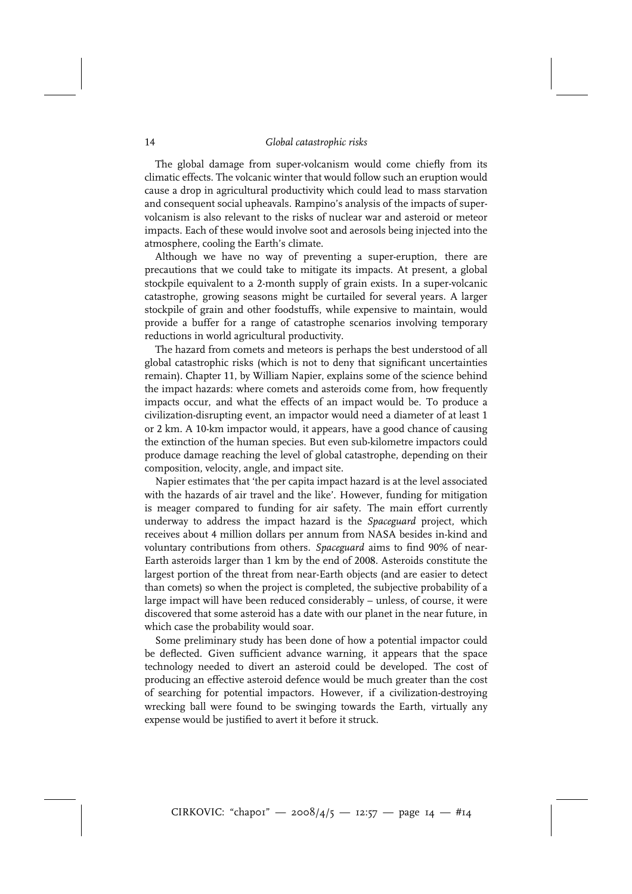The global damage from super-volcanism would come chiefly from its climatic effects. The volcanic winter that would follow such an eruption would cause a drop in agricultural productivity which could lead to mass starvation and consequent social upheavals. Rampino's analysis of the impacts of supervolcanism is also relevant to the risks of nuclear war and asteroid or meteor impacts. Each of these would involve soot and aerosols being injected into the atmosphere, cooling the Earth's climate.

Although we have no way of preventing a super-eruption, there are precautions that we could take to mitigate its impacts. At present, a global stockpile equivalent to a 2-month supply of grain exists. In a super-volcanic catastrophe, growing seasons might be curtailed for several years. A larger stockpile of grain and other foodstuffs, while expensive to maintain, would provide a buffer for a range of catastrophe scenarios involving temporary reductions in world agricultural productivity.

The hazard from comets and meteors is perhaps the best understood of all global catastrophic risks (which is not to deny that significant uncertainties remain). Chapter 11, by William Napier, explains some of the science behind the impact hazards: where comets and asteroids come from, how frequently impacts occur, and what the effects of an impact would be. To produce a civilization-disrupting event, an impactor would need a diameter of at least 1 or 2 km. A 10-km impactor would, it appears, have a good chance of causing the extinction of the human species. But even sub-kilometre impactors could produce damage reaching the level of global catastrophe, depending on their composition, velocity, angle, and impact site.

Napier estimates that 'the per capita impact hazard is at the level associated with the hazards of air travel and the like'. However, funding for mitigation is meager compared to funding for air safety. The main effort currently underway to address the impact hazard is the *Spaceguard* project, which receives about 4 million dollars per annum from NASA besides in-kind and voluntary contributions from others. *Spaceguard* aims to find 90% of near-Earth asteroids larger than 1 km by the end of 2008. Asteroids constitute the largest portion of the threat from near-Earth objects (and are easier to detect than comets) so when the project is completed, the subjective probability of a large impact will have been reduced considerably – unless, of course, it were discovered that some asteroid has a date with our planet in the near future, in which case the probability would soar.

Some preliminary study has been done of how a potential impactor could be deflected. Given sufficient advance warning, it appears that the space technology needed to divert an asteroid could be developed. The cost of producing an effective asteroid defence would be much greater than the cost of searching for potential impactors. However, if a civilization-destroying wrecking ball were found to be swinging towards the Earth, virtually any expense would be justified to avert it before it struck.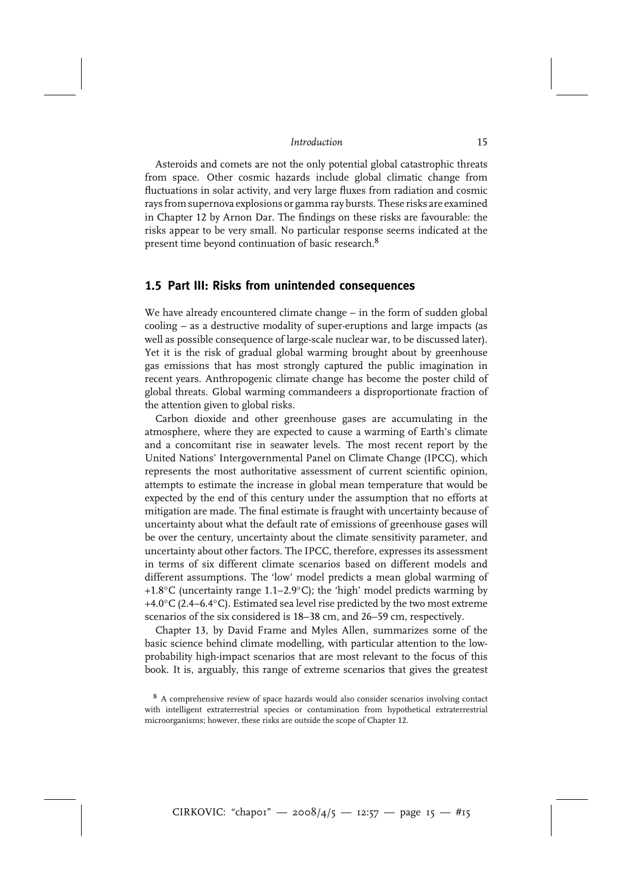Asteroids and comets are not the only potential global catastrophic threats from space. Other cosmic hazards include global climatic change from fluctuations in solar activity, and very large fluxes from radiation and cosmic rays from supernova explosions or gamma ray bursts. These risks are examined in Chapter 12 by Arnon Dar. The findings on these risks are favourable: the risks appear to be very small. No particular response seems indicated at the present time beyond continuation of basic research.<sup>8</sup>

## **1.5 Part III: Risks from unintended consequences**

We have already encountered climate change – in the form of sudden global cooling – as a destructive modality of super-eruptions and large impacts (as well as possible consequence of large-scale nuclear war, to be discussed later). Yet it is the risk of gradual global warming brought about by greenhouse gas emissions that has most strongly captured the public imagination in recent years. Anthropogenic climate change has become the poster child of global threats. Global warming commandeers a disproportionate fraction of the attention given to global risks.

Carbon dioxide and other greenhouse gases are accumulating in the atmosphere, where they are expected to cause a warming of Earth's climate and a concomitant rise in seawater levels. The most recent report by the United Nations' Intergovernmental Panel on Climate Change (IPCC), which represents the most authoritative assessment of current scientific opinion, attempts to estimate the increase in global mean temperature that would be expected by the end of this century under the assumption that no efforts at mitigation are made. The final estimate is fraught with uncertainty because of uncertainty about what the default rate of emissions of greenhouse gases will be over the century, uncertainty about the climate sensitivity parameter, and uncertainty about other factors. The IPCC, therefore, expresses its assessment in terms of six different climate scenarios based on different models and different assumptions. The 'low' model predicts a mean global warming of +1.8℃ (uncertainty range 1.1–2.9℃); the 'high' model predicts warming by +4.0◦C (2.4–6.4◦C). Estimated sea level rise predicted by the two most extreme scenarios of the six considered is 18–38 cm, and 26–59 cm, respectively.

Chapter 13, by David Frame and Myles Allen, summarizes some of the basic science behind climate modelling, with particular attention to the lowprobability high-impact scenarios that are most relevant to the focus of this book. It is, arguably, this range of extreme scenarios that gives the greatest

<sup>8</sup> A comprehensive review of space hazards would also consider scenarios involving contact with intelligent extraterrestrial species or contamination from hypothetical extraterrestrial microorganisms; however, these risks are outside the scope of Chapter 12.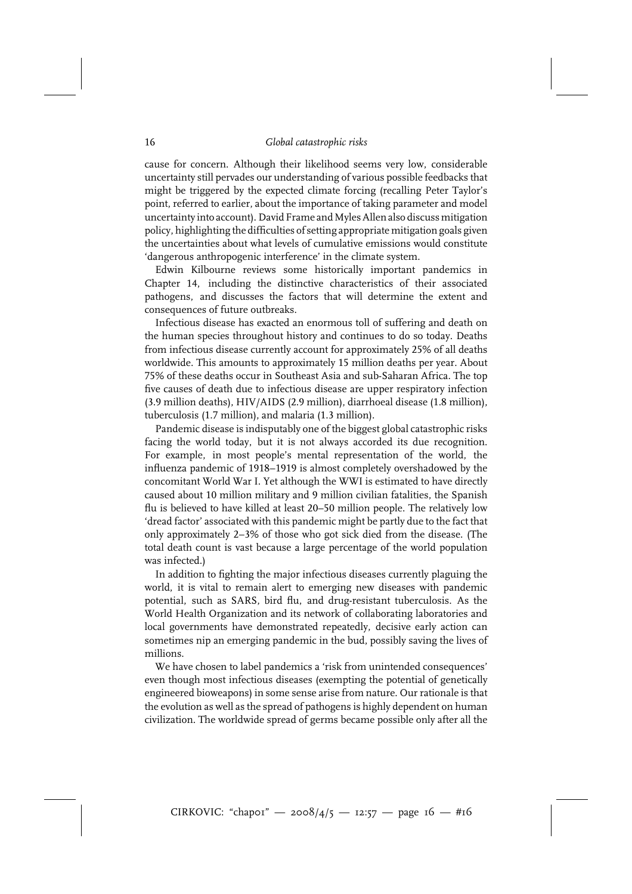cause for concern. Although their likelihood seems very low, considerable uncertainty still pervades our understanding of various possible feedbacks that might be triggered by the expected climate forcing (recalling Peter Taylor's point, referred to earlier, about the importance of taking parameter and model uncertainty into account). David Frame and Myles Allen also discuss mitigation policy, highlighting the difficulties of setting appropriate mitigation goals given the uncertainties about what levels of cumulative emissions would constitute 'dangerous anthropogenic interference' in the climate system.

Edwin Kilbourne reviews some historically important pandemics in Chapter 14, including the distinctive characteristics of their associated pathogens, and discusses the factors that will determine the extent and consequences of future outbreaks.

Infectious disease has exacted an enormous toll of suffering and death on the human species throughout history and continues to do so today. Deaths from infectious disease currently account for approximately 25% of all deaths worldwide. This amounts to approximately 15 million deaths per year. About 75% of these deaths occur in Southeast Asia and sub-Saharan Africa. The top five causes of death due to infectious disease are upper respiratory infection (3.9 million deaths), HIV/AIDS (2.9 million), diarrhoeal disease (1.8 million), tuberculosis (1.7 million), and malaria (1.3 million).

Pandemic disease is indisputably one of the biggest global catastrophic risks facing the world today, but it is not always accorded its due recognition. For example, in most people's mental representation of the world, the influenza pandemic of 1918–1919 is almost completely overshadowed by the concomitant World War I. Yet although the WWI is estimated to have directly caused about 10 million military and 9 million civilian fatalities, the Spanish flu is believed to have killed at least 20–50 million people. The relatively low 'dread factor' associated with this pandemic might be partly due to the fact that only approximately 2–3% of those who got sick died from the disease. (The total death count is vast because a large percentage of the world population was infected.)

In addition to fighting the major infectious diseases currently plaguing the world, it is vital to remain alert to emerging new diseases with pandemic potential, such as SARS, bird flu, and drug-resistant tuberculosis. As the World Health Organization and its network of collaborating laboratories and local governments have demonstrated repeatedly, decisive early action can sometimes nip an emerging pandemic in the bud, possibly saving the lives of millions.

We have chosen to label pandemics a 'risk from unintended consequences' even though most infectious diseases (exempting the potential of genetically engineered bioweapons) in some sense arise from nature. Our rationale is that the evolution as well as the spread of pathogens is highly dependent on human civilization. The worldwide spread of germs became possible only after all the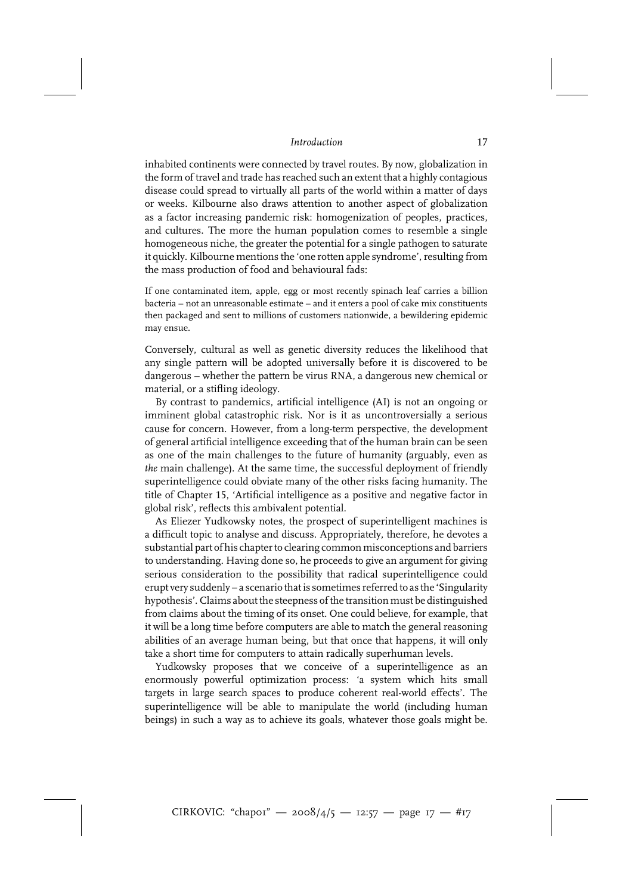inhabited continents were connected by travel routes. By now, globalization in the form of travel and trade has reached such an extent that a highly contagious disease could spread to virtually all parts of the world within a matter of days or weeks. Kilbourne also draws attention to another aspect of globalization as a factor increasing pandemic risk: homogenization of peoples, practices, and cultures. The more the human population comes to resemble a single homogeneous niche, the greater the potential for a single pathogen to saturate it quickly. Kilbourne mentions the 'one rotten apple syndrome', resulting from the mass production of food and behavioural fads:

If one contaminated item, apple, egg or most recently spinach leaf carries a billion bacteria – not an unreasonable estimate – and it enters a pool of cake mix constituents then packaged and sent to millions of customers nationwide, a bewildering epidemic may ensue.

Conversely, cultural as well as genetic diversity reduces the likelihood that any single pattern will be adopted universally before it is discovered to be dangerous – whether the pattern be virus RNA, a dangerous new chemical or material, or a stifling ideology.

By contrast to pandemics, artificial intelligence (AI) is not an ongoing or imminent global catastrophic risk. Nor is it as uncontroversially a serious cause for concern. However, from a long-term perspective, the development of general artificial intelligence exceeding that of the human brain can be seen as one of the main challenges to the future of humanity (arguably, even as *the* main challenge). At the same time, the successful deployment of friendly superintelligence could obviate many of the other risks facing humanity. The title of Chapter 15, 'Artificial intelligence as a positive and negative factor in global risk', reflects this ambivalent potential.

As Eliezer Yudkowsky notes, the prospect of superintelligent machines is a difficult topic to analyse and discuss. Appropriately, therefore, he devotes a substantial part of his chapter to clearing common misconceptions and barriers to understanding. Having done so, he proceeds to give an argument for giving serious consideration to the possibility that radical superintelligence could erupt very suddenly – a scenario that is sometimes referred to as the 'Singularity hypothesis'. Claims about the steepness of the transition must be distinguished from claims about the timing of its onset. One could believe, for example, that it will be a long time before computers are able to match the general reasoning abilities of an average human being, but that once that happens, it will only take a short time for computers to attain radically superhuman levels.

Yudkowsky proposes that we conceive of a superintelligence as an enormously powerful optimization process: 'a system which hits small targets in large search spaces to produce coherent real-world effects'. The superintelligence will be able to manipulate the world (including human beings) in such a way as to achieve its goals, whatever those goals might be.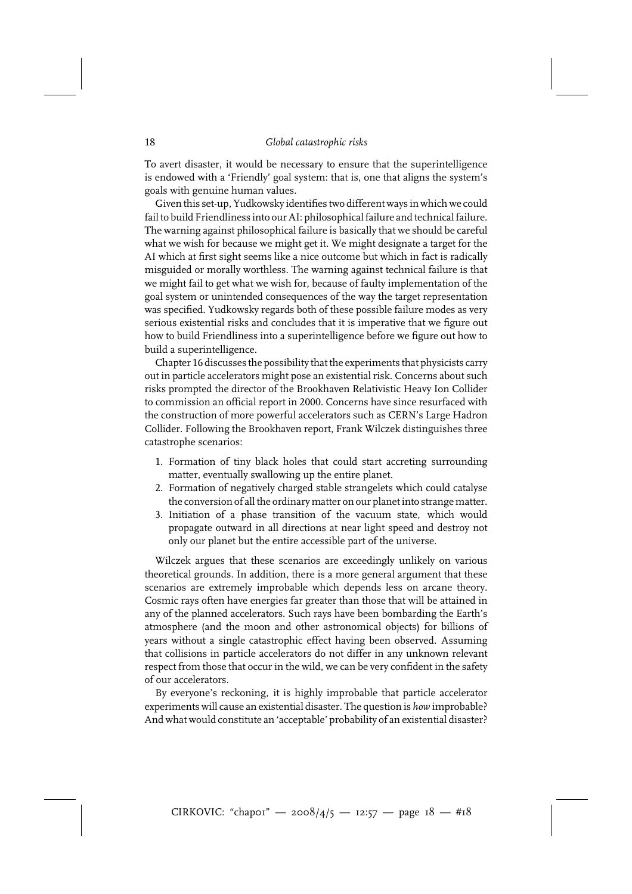To avert disaster, it would be necessary to ensure that the superintelligence is endowed with a 'Friendly' goal system: that is, one that aligns the system's goals with genuine human values.

Given this set-up, Yudkowsky identifies two different ways in which we could fail to build Friendliness into our AI: philosophical failure and technical failure. The warning against philosophical failure is basically that we should be careful what we wish for because we might get it. We might designate a target for the AI which at first sight seems like a nice outcome but which in fact is radically misguided or morally worthless. The warning against technical failure is that we might fail to get what we wish for, because of faulty implementation of the goal system or unintended consequences of the way the target representation was specified. Yudkowsky regards both of these possible failure modes as very serious existential risks and concludes that it is imperative that we figure out how to build Friendliness into a superintelligence before we figure out how to build a superintelligence.

Chapter 16 discusses the possibility that the experiments that physicists carry out in particle accelerators might pose an existential risk. Concerns about such risks prompted the director of the Brookhaven Relativistic Heavy Ion Collider to commission an official report in 2000. Concerns have since resurfaced with the construction of more powerful accelerators such as CERN's Large Hadron Collider. Following the Brookhaven report, Frank Wilczek distinguishes three catastrophe scenarios:

- 1. Formation of tiny black holes that could start accreting surrounding matter, eventually swallowing up the entire planet.
- 2. Formation of negatively charged stable strangelets which could catalyse the conversion of all the ordinary matter on our planet into strange matter.
- 3. Initiation of a phase transition of the vacuum state, which would propagate outward in all directions at near light speed and destroy not only our planet but the entire accessible part of the universe.

Wilczek argues that these scenarios are exceedingly unlikely on various theoretical grounds. In addition, there is a more general argument that these scenarios are extremely improbable which depends less on arcane theory. Cosmic rays often have energies far greater than those that will be attained in any of the planned accelerators. Such rays have been bombarding the Earth's atmosphere (and the moon and other astronomical objects) for billions of years without a single catastrophic effect having been observed. Assuming that collisions in particle accelerators do not differ in any unknown relevant respect from those that occur in the wild, we can be very confident in the safety of our accelerators.

By everyone's reckoning, it is highly improbable that particle accelerator experiments will cause an existential disaster. The question is *how* improbable? And what would constitute an 'acceptable' probability of an existential disaster?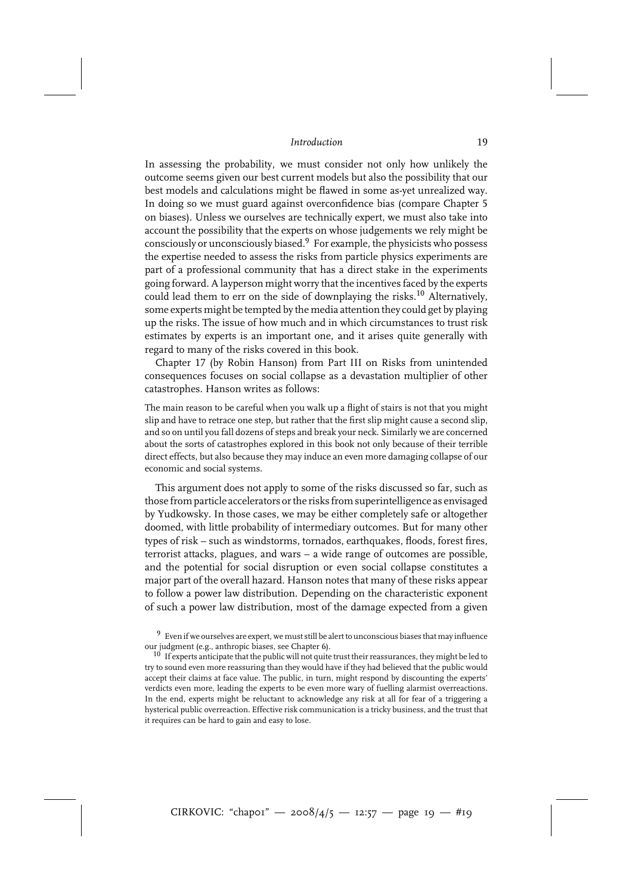In assessing the probability, we must consider not only how unlikely the outcome seems given our best current models but also the possibility that our best models and calculations might be flawed in some as-yet unrealized way. In doing so we must guard against overconfidence bias (compare Chapter 5 on biases). Unless we ourselves are technically expert, we must also take into account the possibility that the experts on whose judgements we rely might be consciously or unconsciously biased.<sup>9</sup> For example, the physicists who possess the expertise needed to assess the risks from particle physics experiments are part of a professional community that has a direct stake in the experiments going forward. A layperson might worry that the incentives faced by the experts could lead them to err on the side of downplaying the risks.<sup>10</sup> Alternatively, some experts might be tempted by the media attention they could get by playing up the risks. The issue of how much and in which circumstances to trust risk estimates by experts is an important one, and it arises quite generally with regard to many of the risks covered in this book.

Chapter 17 (by Robin Hanson) from Part III on Risks from unintended consequences focuses on social collapse as a devastation multiplier of other catastrophes. Hanson writes as follows:

The main reason to be careful when you walk up a flight of stairs is not that you might slip and have to retrace one step, but rather that the first slip might cause a second slip, and so on until you fall dozens of steps and break your neck. Similarly we are concerned about the sorts of catastrophes explored in this book not only because of their terrible direct effects, but also because they may induce an even more damaging collapse of our economic and social systems.

This argument does not apply to some of the risks discussed so far, such as those from particle accelerators or the risks from superintelligence as envisaged by Yudkowsky. In those cases, we may be either completely safe or altogether doomed, with little probability of intermediary outcomes. But for many other types of risk – such as windstorms, tornados, earthquakes, floods, forest fires, terrorist attacks, plagues, and wars – a wide range of outcomes are possible, and the potential for social disruption or even social collapse constitutes a major part of the overall hazard. Hanson notes that many of these risks appear to follow a power law distribution. Depending on the characteristic exponent of such a power law distribution, most of the damage expected from a given

 $^9\;$  Even if we ourselves are expert, we must still be alert to unconscious biases that may influence our judgment (e.g., anthropic biases, see Chapter 6).  $10$  If experts anticipate that the public will not quite trust their reassurances, they might be led to

try to sound even more reassuring than they would have if they had believed that the public would accept their claims at face value. The public, in turn, might respond by discounting the experts' verdicts even more, leading the experts to be even more wary of fuelling alarmist overreactions. In the end, experts might be reluctant to acknowledge any risk at all for fear of a triggering a hysterical public overreaction. Effective risk communication is a tricky business, and the trust that it requires can be hard to gain and easy to lose.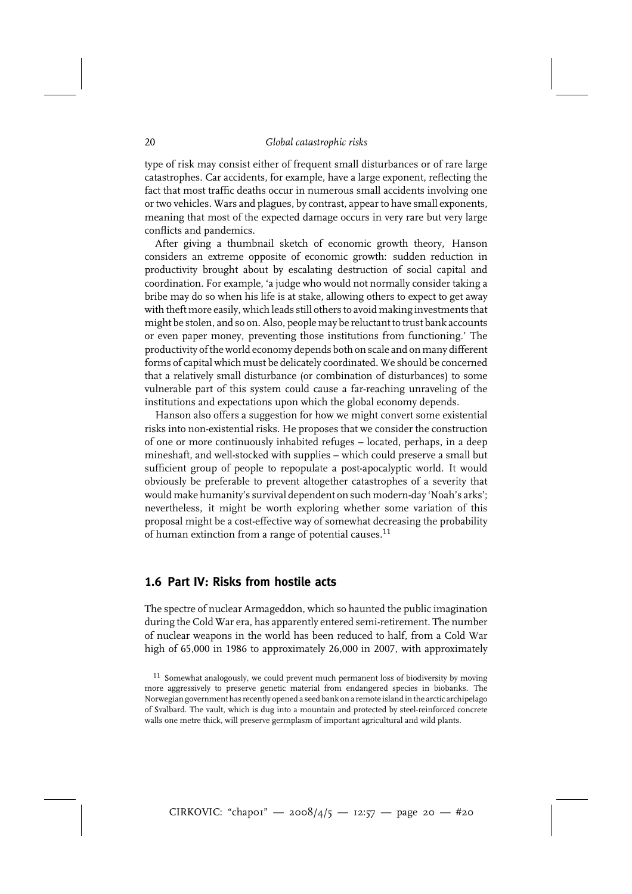type of risk may consist either of frequent small disturbances or of rare large catastrophes. Car accidents, for example, have a large exponent, reflecting the fact that most traffic deaths occur in numerous small accidents involving one or two vehicles. Wars and plagues, by contrast, appear to have small exponents, meaning that most of the expected damage occurs in very rare but very large conflicts and pandemics.

After giving a thumbnail sketch of economic growth theory, Hanson considers an extreme opposite of economic growth: sudden reduction in productivity brought about by escalating destruction of social capital and coordination. For example, 'a judge who would not normally consider taking a bribe may do so when his life is at stake, allowing others to expect to get away with theft more easily, which leads still others to avoid making investments that might be stolen, and so on. Also, people may be reluctant to trust bank accounts or even paper money, preventing those institutions from functioning.' The productivity of the world economy depends both on scale and on many different forms of capital which must be delicately coordinated. We should be concerned that a relatively small disturbance (or combination of disturbances) to some vulnerable part of this system could cause a far-reaching unraveling of the institutions and expectations upon which the global economy depends.

Hanson also offers a suggestion for how we might convert some existential risks into non-existential risks. He proposes that we consider the construction of one or more continuously inhabited refuges – located, perhaps, in a deep mineshaft, and well-stocked with supplies – which could preserve a small but sufficient group of people to repopulate a post-apocalyptic world. It would obviously be preferable to prevent altogether catastrophes of a severity that would make humanity's survival dependent on such modern-day 'Noah's arks'; nevertheless, it might be worth exploring whether some variation of this proposal might be a cost-effective way of somewhat decreasing the probability of human extinction from a range of potential causes.<sup>11</sup>

# **1.6 Part IV: Risks from hostile acts**

The spectre of nuclear Armageddon, which so haunted the public imagination during the Cold War era, has apparently entered semi-retirement. The number of nuclear weapons in the world has been reduced to half, from a Cold War high of 65,000 in 1986 to approximately 26,000 in 2007, with approximately

 $^{11}\,$  Somewhat analogously, we could prevent much permanent loss of biodiversity by moving more aggressively to preserve genetic material from endangered species in biobanks. The Norwegian government has recently opened a seed bank on a remote island in the arctic archipelago of Svalbard. The vault, which is dug into a mountain and protected by steel-reinforced concrete walls one metre thick, will preserve germplasm of important agricultural and wild plants.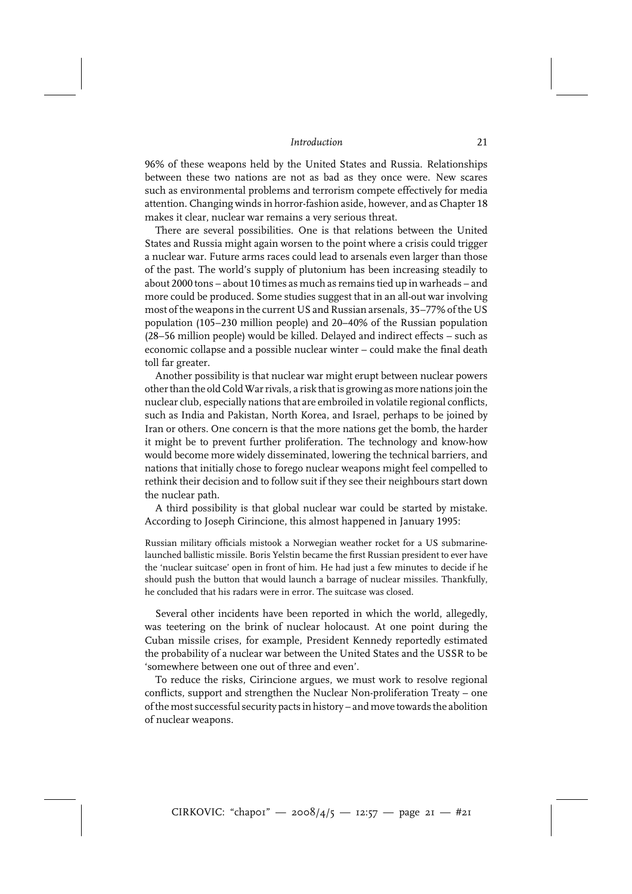96% of these weapons held by the United States and Russia. Relationships between these two nations are not as bad as they once were. New scares such as environmental problems and terrorism compete effectively for media attention. Changing winds in horror-fashion aside, however, and as Chapter 18 makes it clear, nuclear war remains a very serious threat.

There are several possibilities. One is that relations between the United States and Russia might again worsen to the point where a crisis could trigger a nuclear war. Future arms races could lead to arsenals even larger than those of the past. The world's supply of plutonium has been increasing steadily to about 2000 tons – about 10 times as much as remains tied up in warheads – and more could be produced. Some studies suggest that in an all-out war involving most of the weapons in the current US and Russian arsenals, 35–77% of the US population (105–230 million people) and 20–40% of the Russian population (28–56 million people) would be killed. Delayed and indirect effects – such as economic collapse and a possible nuclear winter – could make the final death toll far greater.

Another possibility is that nuclear war might erupt between nuclear powers other than the old Cold War rivals, a risk that is growing as more nations join the nuclear club, especially nations that are embroiled in volatile regional conflicts, such as India and Pakistan, North Korea, and Israel, perhaps to be joined by Iran or others. One concern is that the more nations get the bomb, the harder it might be to prevent further proliferation. The technology and know-how would become more widely disseminated, lowering the technical barriers, and nations that initially chose to forego nuclear weapons might feel compelled to rethink their decision and to follow suit if they see their neighbours start down the nuclear path.

A third possibility is that global nuclear war could be started by mistake. According to Joseph Cirincione, this almost happened in January 1995:

Russian military officials mistook a Norwegian weather rocket for a US submarinelaunched ballistic missile. Boris Yelstin became the first Russian president to ever have the 'nuclear suitcase' open in front of him. He had just a few minutes to decide if he should push the button that would launch a barrage of nuclear missiles. Thankfully, he concluded that his radars were in error. The suitcase was closed.

Several other incidents have been reported in which the world, allegedly, was teetering on the brink of nuclear holocaust. At one point during the Cuban missile crises, for example, President Kennedy reportedly estimated the probability of a nuclear war between the United States and the USSR to be 'somewhere between one out of three and even'.

To reduce the risks, Cirincione argues, we must work to resolve regional conflicts, support and strengthen the Nuclear Non-proliferation Treaty – one of the most successful security pacts in history – and move towards the abolition of nuclear weapons.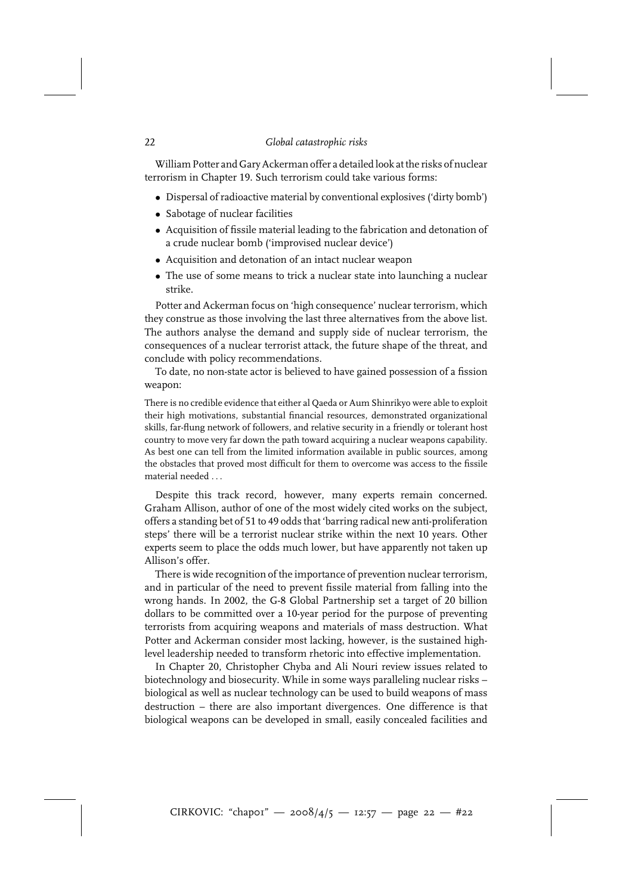William Potter and Gary Ackerman offer a detailed look at the risks of nuclear terrorism in Chapter 19. Such terrorism could take various forms:

- Dispersal of radioactive material by conventional explosives ('dirty bomb')
- Sabotage of nuclear facilities
- Acquisition of fissile material leading to the fabrication and detonation of a crude nuclear bomb ('improvised nuclear device')
- Acquisition and detonation of an intact nuclear weapon
- The use of some means to trick a nuclear state into launching a nuclear strike.

Potter and Ackerman focus on 'high consequence' nuclear terrorism, which they construe as those involving the last three alternatives from the above list. The authors analyse the demand and supply side of nuclear terrorism, the consequences of a nuclear terrorist attack, the future shape of the threat, and conclude with policy recommendations.

To date, no non-state actor is believed to have gained possession of a fission weapon:

There is no credible evidence that either al Qaeda or Aum Shinrikyo were able to exploit their high motivations, substantial financial resources, demonstrated organizational skills, far-flung network of followers, and relative security in a friendly or tolerant host country to move very far down the path toward acquiring a nuclear weapons capability. As best one can tell from the limited information available in public sources, among the obstacles that proved most difficult for them to overcome was access to the fissile material needed . .

Despite this track record, however, many experts remain concerned. Graham Allison, author of one of the most widely cited works on the subject, offers a standing bet of 51 to 49 odds that 'barring radical new anti-proliferation steps' there will be a terrorist nuclear strike within the next 10 years. Other experts seem to place the odds much lower, but have apparently not taken up Allison's offer.

There is wide recognition of the importance of prevention nuclear terrorism, and in particular of the need to prevent fissile material from falling into the wrong hands. In 2002, the G-8 Global Partnership set a target of 20 billion dollars to be committed over a 10-year period for the purpose of preventing terrorists from acquiring weapons and materials of mass destruction. What Potter and Ackerman consider most lacking, however, is the sustained highlevel leadership needed to transform rhetoric into effective implementation.

In Chapter 20, Christopher Chyba and Ali Nouri review issues related to biotechnology and biosecurity. While in some ways paralleling nuclear risks – biological as well as nuclear technology can be used to build weapons of mass destruction – there are also important divergences. One difference is that biological weapons can be developed in small, easily concealed facilities and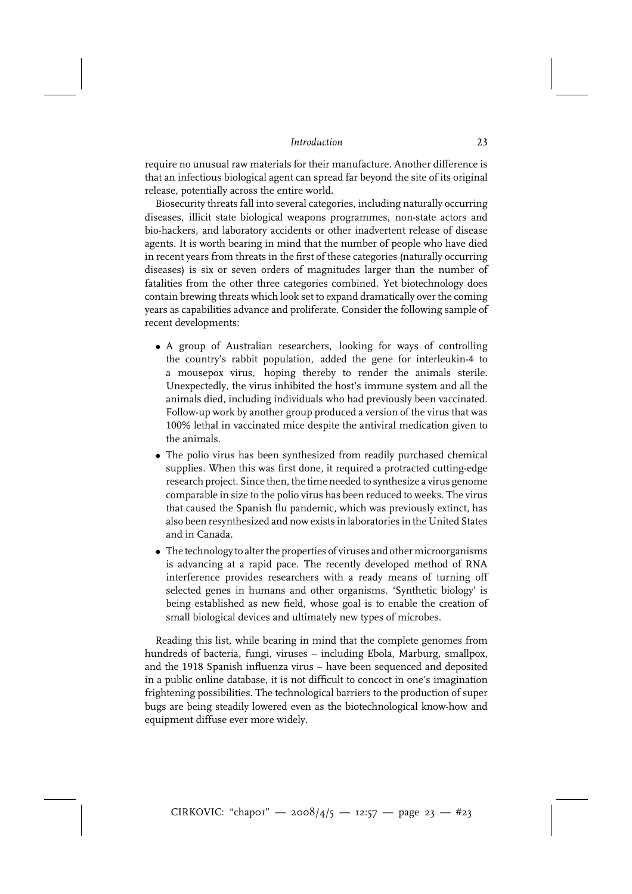require no unusual raw materials for their manufacture. Another difference is that an infectious biological agent can spread far beyond the site of its original release, potentially across the entire world.

Biosecurity threats fall into several categories, including naturally occurring diseases, illicit state biological weapons programmes, non-state actors and bio-hackers, and laboratory accidents or other inadvertent release of disease agents. It is worth bearing in mind that the number of people who have died in recent years from threats in the first of these categories (naturally occurring diseases) is six or seven orders of magnitudes larger than the number of fatalities from the other three categories combined. Yet biotechnology does contain brewing threats which look set to expand dramatically over the coming years as capabilities advance and proliferate. Consider the following sample of recent developments:

- A group of Australian researchers, looking for ways of controlling the country's rabbit population, added the gene for interleukin-4 to a mousepox virus, hoping thereby to render the animals sterile. Unexpectedly, the virus inhibited the host's immune system and all the animals died, including individuals who had previously been vaccinated. Follow-up work by another group produced a version of the virus that was 100% lethal in vaccinated mice despite the antiviral medication given to the animals.
- The polio virus has been synthesized from readily purchased chemical supplies. When this was first done, it required a protracted cutting-edge research project. Since then, the time needed to synthesize a virus genome comparable in size to the polio virus has been reduced to weeks. The virus that caused the Spanish flu pandemic, which was previously extinct, has also been resynthesized and now exists in laboratories in the United States and in Canada.
- The technology to alter the properties of viruses and other microorganisms is advancing at a rapid pace. The recently developed method of RNA interference provides researchers with a ready means of turning off selected genes in humans and other organisms. 'Synthetic biology' is being established as new field, whose goal is to enable the creation of small biological devices and ultimately new types of microbes.

Reading this list, while bearing in mind that the complete genomes from hundreds of bacteria, fungi, viruses – including Ebola, Marburg, smallpox, and the 1918 Spanish influenza virus – have been sequenced and deposited in a public online database, it is not difficult to concoct in one's imagination frightening possibilities. The technological barriers to the production of super bugs are being steadily lowered even as the biotechnological know-how and equipment diffuse ever more widely.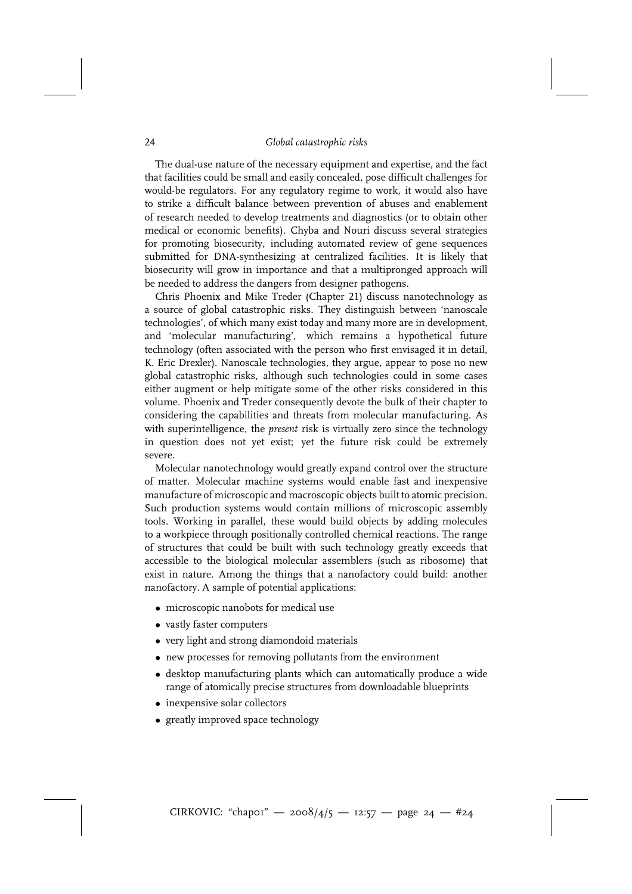The dual-use nature of the necessary equipment and expertise, and the fact that facilities could be small and easily concealed, pose difficult challenges for would-be regulators. For any regulatory regime to work, it would also have to strike a difficult balance between prevention of abuses and enablement of research needed to develop treatments and diagnostics (or to obtain other medical or economic benefits). Chyba and Nouri discuss several strategies for promoting biosecurity, including automated review of gene sequences submitted for DNA-synthesizing at centralized facilities. It is likely that biosecurity will grow in importance and that a multipronged approach will be needed to address the dangers from designer pathogens.

Chris Phoenix and Mike Treder (Chapter 21) discuss nanotechnology as a source of global catastrophic risks. They distinguish between 'nanoscale technologies', of which many exist today and many more are in development, and 'molecular manufacturing', which remains a hypothetical future technology (often associated with the person who first envisaged it in detail, K. Eric Drexler). Nanoscale technologies, they argue, appear to pose no new global catastrophic risks, although such technologies could in some cases either augment or help mitigate some of the other risks considered in this volume. Phoenix and Treder consequently devote the bulk of their chapter to considering the capabilities and threats from molecular manufacturing. As with superintelligence, the *present* risk is virtually zero since the technology in question does not yet exist; yet the future risk could be extremely severe.

Molecular nanotechnology would greatly expand control over the structure of matter. Molecular machine systems would enable fast and inexpensive manufacture of microscopic and macroscopic objects built to atomic precision. Such production systems would contain millions of microscopic assembly tools. Working in parallel, these would build objects by adding molecules to a workpiece through positionally controlled chemical reactions. The range of structures that could be built with such technology greatly exceeds that accessible to the biological molecular assemblers (such as ribosome) that exist in nature. Among the things that a nanofactory could build: another nanofactory. A sample of potential applications:

- microscopic nanobots for medical use
- vastly faster computers
- very light and strong diamondoid materials
- new processes for removing pollutants from the environment
- desktop manufacturing plants which can automatically produce a wide range of atomically precise structures from downloadable blueprints
- inexpensive solar collectors
- greatly improved space technology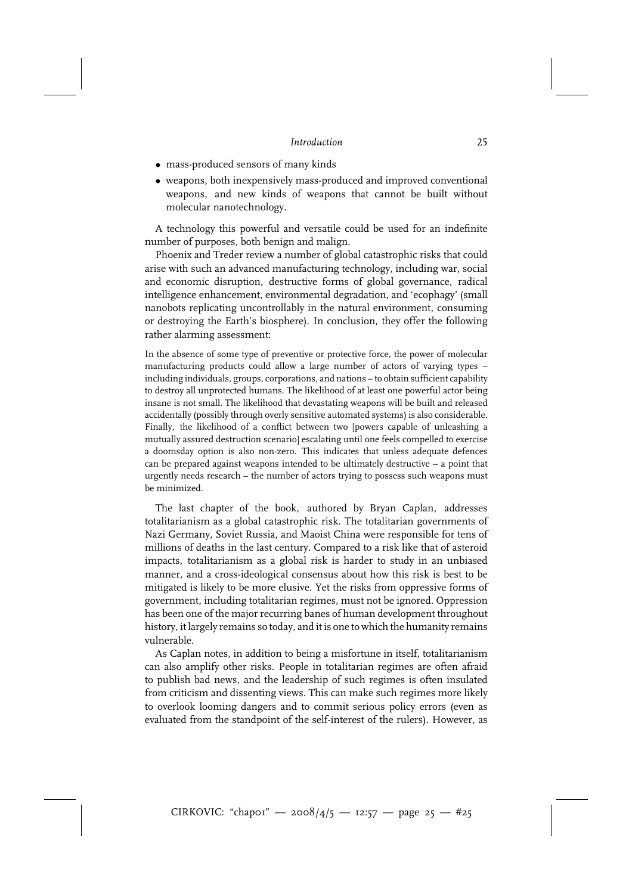- mass-produced sensors of many kinds
- weapons, both inexpensively mass-produced and improved conventional weapons, and new kinds of weapons that cannot be built without molecular nanotechnology.

A technology this powerful and versatile could be used for an indefinite number of purposes, both benign and malign.

Phoenix and Treder review a number of global catastrophic risks that could arise with such an advanced manufacturing technology, including war, social and economic disruption, destructive forms of global governance, radical intelligence enhancement, environmental degradation, and 'ecophagy' (small nanobots replicating uncontrollably in the natural environment, consuming or destroying the Earth's biosphere). In conclusion, they offer the following rather alarming assessment:

In the absence of some type of preventive or protective force, the power of molecular manufacturing products could allow a large number of actors of varying types – including individuals, groups, corporations, and nations – to obtain sufficient capability to destroy all unprotected humans. The likelihood of at least one powerful actor being insane is not small. The likelihood that devastating weapons will be built and released accidentally (possibly through overly sensitive automated systems) is also considerable. Finally, the likelihood of a conflict between two [powers capable of unleashing a mutually assured destruction scenario] escalating until one feels compelled to exercise a doomsday option is also non-zero. This indicates that unless adequate defences can be prepared against weapons intended to be ultimately destructive – a point that urgently needs research – the number of actors trying to possess such weapons must be minimized.

The last chapter of the book, authored by Bryan Caplan, addresses totalitarianism as a global catastrophic risk. The totalitarian governments of Nazi Germany, Soviet Russia, and Maoist China were responsible for tens of millions of deaths in the last century. Compared to a risk like that of asteroid impacts, totalitarianism as a global risk is harder to study in an unbiased manner, and a cross-ideological consensus about how this risk is best to be mitigated is likely to be more elusive. Yet the risks from oppressive forms of government, including totalitarian regimes, must not be ignored. Oppression has been one of the major recurring banes of human development throughout history, it largely remains so today, and it is one to which the humanity remains vulnerable.

As Caplan notes, in addition to being a misfortune in itself, totalitarianism can also amplify other risks. People in totalitarian regimes are often afraid to publish bad news, and the leadership of such regimes is often insulated from criticism and dissenting views. This can make such regimes more likely to overlook looming dangers and to commit serious policy errors (even as evaluated from the standpoint of the self-interest of the rulers). However, as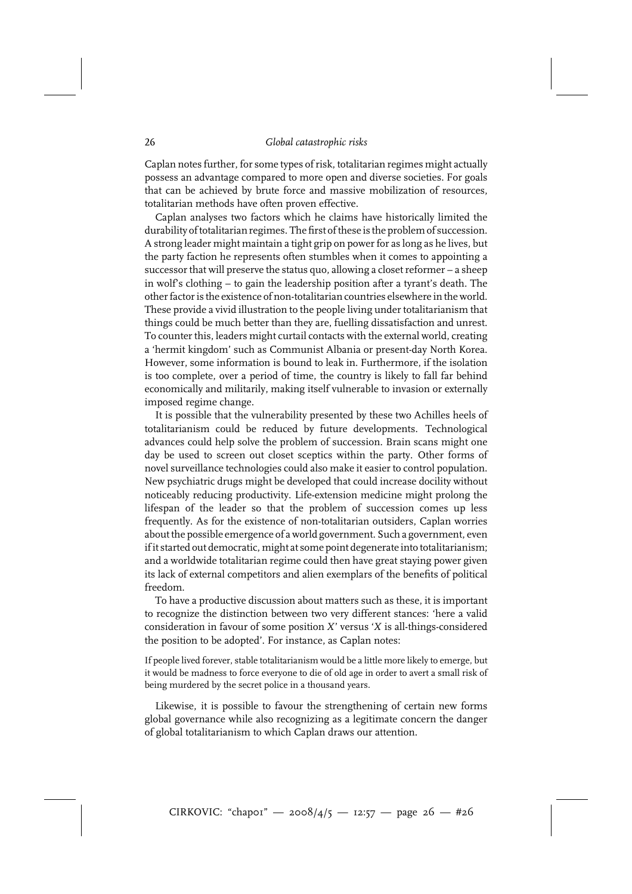Caplan notes further, for some types of risk, totalitarian regimes might actually possess an advantage compared to more open and diverse societies. For goals that can be achieved by brute force and massive mobilization of resources, totalitarian methods have often proven effective.

Caplan analyses two factors which he claims have historically limited the durability of totalitarian regimes. The first of these is the problem of succession. A strong leader might maintain a tight grip on power for as long as he lives, but the party faction he represents often stumbles when it comes to appointing a successor that will preserve the status quo, allowing a closet reformer – a sheep in wolf's clothing – to gain the leadership position after a tyrant's death. The other factor is the existence of non-totalitarian countries elsewhere in the world. These provide a vivid illustration to the people living under totalitarianism that things could be much better than they are, fuelling dissatisfaction and unrest. To counter this, leaders might curtail contacts with the external world, creating a 'hermit kingdom' such as Communist Albania or present-day North Korea. However, some information is bound to leak in. Furthermore, if the isolation is too complete, over a period of time, the country is likely to fall far behind economically and militarily, making itself vulnerable to invasion or externally imposed regime change.

It is possible that the vulnerability presented by these two Achilles heels of totalitarianism could be reduced by future developments. Technological advances could help solve the problem of succession. Brain scans might one day be used to screen out closet sceptics within the party. Other forms of novel surveillance technologies could also make it easier to control population. New psychiatric drugs might be developed that could increase docility without noticeably reducing productivity. Life-extension medicine might prolong the lifespan of the leader so that the problem of succession comes up less frequently. As for the existence of non-totalitarian outsiders, Caplan worries about the possible emergence of a world government. Such a government, even if it started out democratic, might at some point degenerate into totalitarianism; and a worldwide totalitarian regime could then have great staying power given its lack of external competitors and alien exemplars of the benefits of political freedom.

To have a productive discussion about matters such as these, it is important to recognize the distinction between two very different stances: 'here a valid consideration in favour of some position *X*' versus '*X* is all-things-considered the position to be adopted'. For instance, as Caplan notes:

If people lived forever, stable totalitarianism would be a little more likely to emerge, but it would be madness to force everyone to die of old age in order to avert a small risk of being murdered by the secret police in a thousand years.

Likewise, it is possible to favour the strengthening of certain new forms global governance while also recognizing as a legitimate concern the danger of global totalitarianism to which Caplan draws our attention.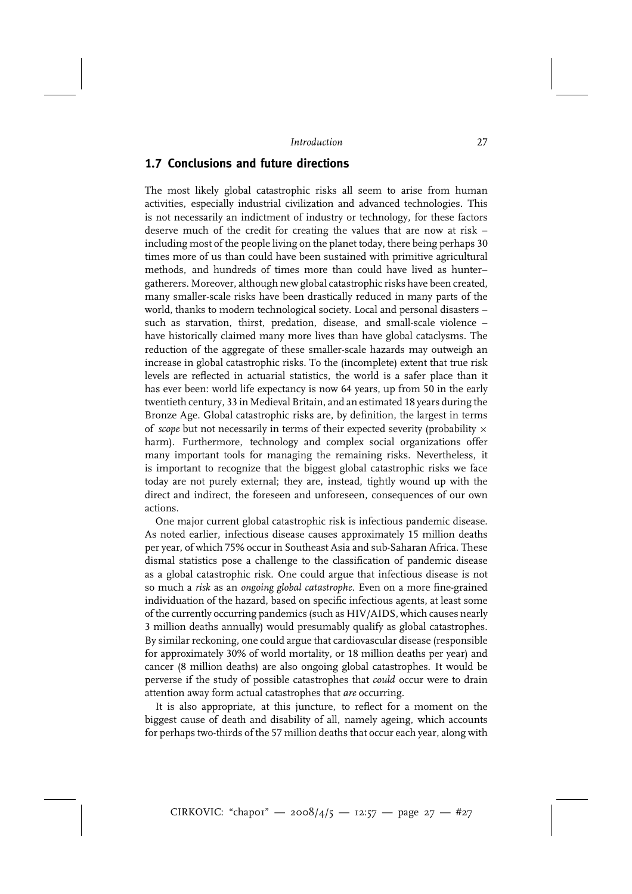# **1.7 Conclusions and future directions**

The most likely global catastrophic risks all seem to arise from human activities, especially industrial civilization and advanced technologies. This is not necessarily an indictment of industry or technology, for these factors deserve much of the credit for creating the values that are now at risk – including most of the people living on the planet today, there being perhaps 30 times more of us than could have been sustained with primitive agricultural methods, and hundreds of times more than could have lived as hunter– gatherers. Moreover, although new global catastrophic risks have been created, many smaller-scale risks have been drastically reduced in many parts of the world, thanks to modern technological society. Local and personal disasters – such as starvation, thirst, predation, disease, and small-scale violence – have historically claimed many more lives than have global cataclysms. The reduction of the aggregate of these smaller-scale hazards may outweigh an increase in global catastrophic risks. To the (incomplete) extent that true risk levels are reflected in actuarial statistics, the world is a safer place than it has ever been: world life expectancy is now 64 years, up from 50 in the early twentieth century, 33 in Medieval Britain, and an estimated 18 years during the Bronze Age. Global catastrophic risks are, by definition, the largest in terms of *scope* but not necessarily in terms of their expected severity (probability × harm). Furthermore, technology and complex social organizations offer many important tools for managing the remaining risks. Nevertheless, it is important to recognize that the biggest global catastrophic risks we face today are not purely external; they are, instead, tightly wound up with the direct and indirect, the foreseen and unforeseen, consequences of our own actions.

One major current global catastrophic risk is infectious pandemic disease. As noted earlier, infectious disease causes approximately 15 million deaths per year, of which 75% occur in Southeast Asia and sub-Saharan Africa. These dismal statistics pose a challenge to the classification of pandemic disease as a global catastrophic risk. One could argue that infectious disease is not so much a *risk* as an *ongoing global catastrophe*. Even on a more fine-grained individuation of the hazard, based on specific infectious agents, at least some of the currently occurring pandemics (such as HIV/AIDS, which causes nearly 3 million deaths annually) would presumably qualify as global catastrophes. By similar reckoning, one could argue that cardiovascular disease (responsible for approximately 30% of world mortality, or 18 million deaths per year) and cancer (8 million deaths) are also ongoing global catastrophes. It would be perverse if the study of possible catastrophes that *could* occur were to drain attention away form actual catastrophes that *are* occurring.

It is also appropriate, at this juncture, to reflect for a moment on the biggest cause of death and disability of all, namely ageing, which accounts for perhaps two-thirds of the 57 million deaths that occur each year, along with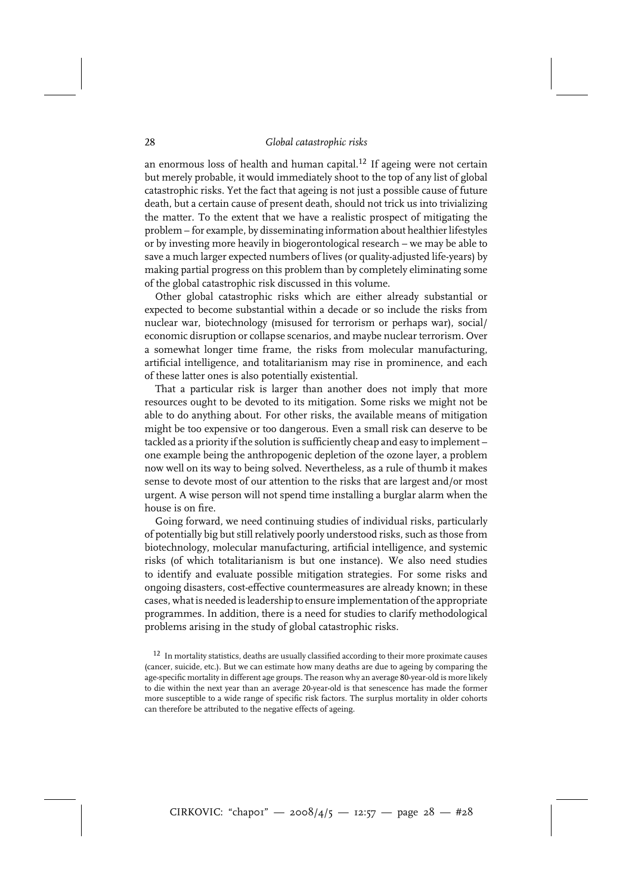an enormous loss of health and human capital.<sup>12</sup> If ageing were not certain but merely probable, it would immediately shoot to the top of any list of global catastrophic risks. Yet the fact that ageing is not just a possible cause of future death, but a certain cause of present death, should not trick us into trivializing the matter. To the extent that we have a realistic prospect of mitigating the problem – for example, by disseminating information about healthier lifestyles or by investing more heavily in biogerontological research – we may be able to save a much larger expected numbers of lives (or quality-adjusted life-years) by making partial progress on this problem than by completely eliminating some of the global catastrophic risk discussed in this volume.

Other global catastrophic risks which are either already substantial or expected to become substantial within a decade or so include the risks from nuclear war, biotechnology (misused for terrorism or perhaps war), social/ economic disruption or collapse scenarios, and maybe nuclear terrorism. Over a somewhat longer time frame, the risks from molecular manufacturing, artificial intelligence, and totalitarianism may rise in prominence, and each of these latter ones is also potentially existential.

That a particular risk is larger than another does not imply that more resources ought to be devoted to its mitigation. Some risks we might not be able to do anything about. For other risks, the available means of mitigation might be too expensive or too dangerous. Even a small risk can deserve to be tackled as a priority if the solution is sufficiently cheap and easy to implement – one example being the anthropogenic depletion of the ozone layer, a problem now well on its way to being solved. Nevertheless, as a rule of thumb it makes sense to devote most of our attention to the risks that are largest and/or most urgent. A wise person will not spend time installing a burglar alarm when the house is on fire.

Going forward, we need continuing studies of individual risks, particularly of potentially big but still relatively poorly understood risks, such as those from biotechnology, molecular manufacturing, artificial intelligence, and systemic risks (of which totalitarianism is but one instance). We also need studies to identify and evaluate possible mitigation strategies. For some risks and ongoing disasters, cost-effective countermeasures are already known; in these cases, what is needed is leadership to ensure implementation of the appropriate programmes. In addition, there is a need for studies to clarify methodological problems arising in the study of global catastrophic risks.

<sup>&</sup>lt;sup>12</sup> In mortality statistics, deaths are usually classified according to their more proximate causes (cancer, suicide, etc.). But we can estimate how many deaths are due to ageing by comparing the age-specific mortality in different age groups. The reason why an average 80-year-old is more likely to die within the next year than an average 20-year-old is that senescence has made the former more susceptible to a wide range of specific risk factors. The surplus mortality in older cohorts can therefore be attributed to the negative effects of ageing.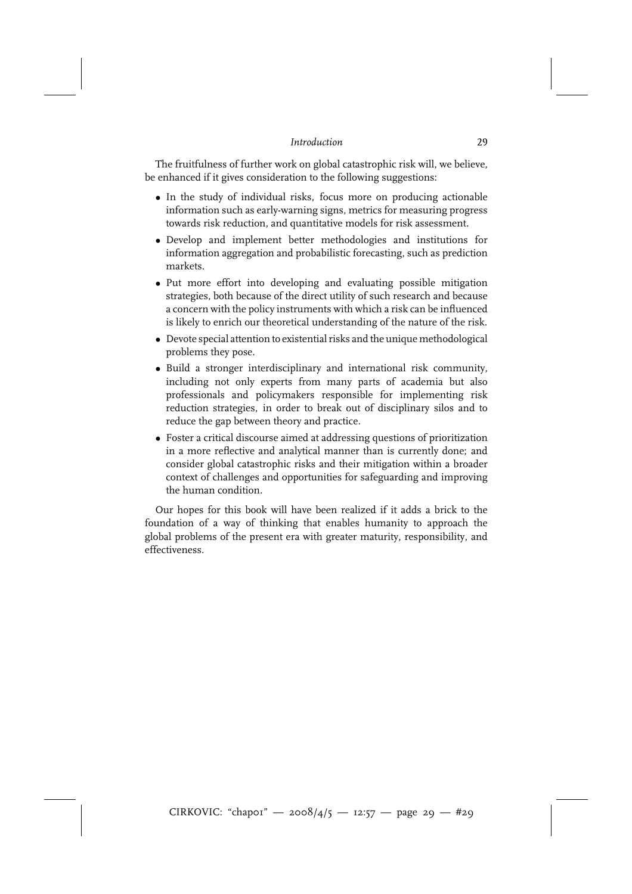The fruitfulness of further work on global catastrophic risk will, we believe, be enhanced if it gives consideration to the following suggestions:

- In the study of individual risks, focus more on producing actionable information such as early-warning signs, metrics for measuring progress towards risk reduction, and quantitative models for risk assessment.
- Develop and implement better methodologies and institutions for information aggregation and probabilistic forecasting, such as prediction markets.
- Put more effort into developing and evaluating possible mitigation strategies, both because of the direct utility of such research and because a concern with the policy instruments with which a risk can be influenced is likely to enrich our theoretical understanding of the nature of the risk.
- Devote special attention to existential risks and the unique methodological problems they pose.
- Build a stronger interdisciplinary and international risk community, including not only experts from many parts of academia but also professionals and policymakers responsible for implementing risk reduction strategies, in order to break out of disciplinary silos and to reduce the gap between theory and practice.
- Foster a critical discourse aimed at addressing questions of prioritization in a more reflective and analytical manner than is currently done; and consider global catastrophic risks and their mitigation within a broader context of challenges and opportunities for safeguarding and improving the human condition.

Our hopes for this book will have been realized if it adds a brick to the foundation of a way of thinking that enables humanity to approach the global problems of the present era with greater maturity, responsibility, and effectiveness.

CIRKOVIC: "chapo1" - 2008/4/5 - 12:57 - page 29 - #29